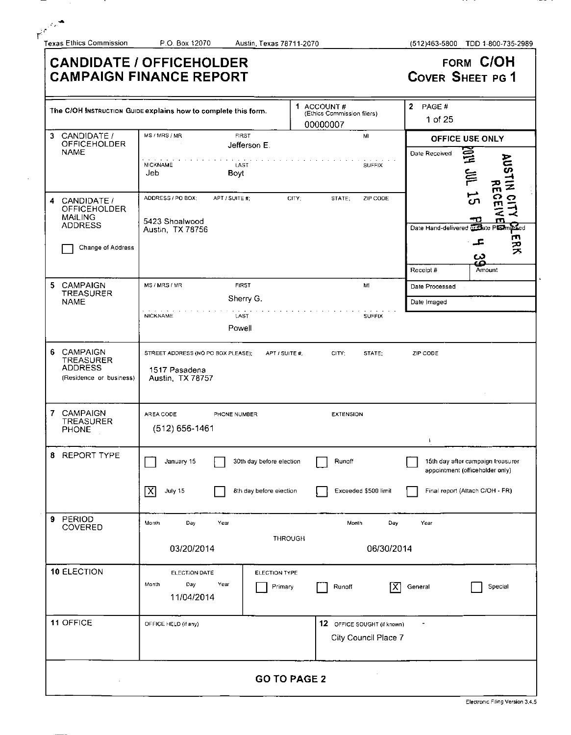I

ן

|                                                                                           | <b>CANDIDATE / OFFICEHOLDER</b><br><b>CAMPAIGN FINANCE REPORT</b>                         |                                                      | FORM C/OH<br><b>COVER SHEET PG 1</b>                                                                    |  |
|-------------------------------------------------------------------------------------------|-------------------------------------------------------------------------------------------|------------------------------------------------------|---------------------------------------------------------------------------------------------------------|--|
|                                                                                           | The C/OH INSTRUCTION GUIDE explains how to complete this form.                            | 1 ACCOUNT#<br>(Ethics Commission filers)<br>00000007 | 2 PAGE $#$<br>1 of 25                                                                                   |  |
| 3 CANDIDATE /<br><b>OFFICEHOLDER</b><br><b>NAME</b>                                       | MS/MRS/MR<br><b>FIRST</b><br>Jefferson E.<br><b>NICKNAME</b><br>LAST<br>Jeb<br>Boyt       | MI<br><b>SUFFIX</b>                                  | OFFICE USE ONLY<br>$F_{\text{H}}$<br>Date Received<br>AUSTIN CITY<br>AUSTIN CITY<br>$\approx$           |  |
| CANDIDATE /<br>4<br>OFFICEHOLDER<br><b>MAILING</b><br><b>ADDRESS</b><br>Change of Address | ADDRESS / PO BOX:<br>APT / SUITE #;<br>5423 Shoalwood<br>Austin, TX 78756                 | ZIP CODE<br>CITY;<br>STATE,                          | 55<br>Date Hand-delivered of the Pushing Led<br>ERK<br>ᅩ<br>دە<br>قة<br>Receipt #<br>Amount             |  |
| 5<br><b>CAMPAIGN</b><br>TREASURER<br><b>NAME</b>                                          | MS / MRS / MR<br><b>FIRST</b><br>Sherry G.<br><b>NICKNAME</b><br>LAST<br>Powell           | M1<br><b>SUFFIX</b>                                  | Date Processed<br>Date Imaged                                                                           |  |
| 6 <sub>1</sub><br>CAMPAIGN<br>TREASURER<br><b>ADDRESS</b><br>(Residence or business)      | STREET ADDRESS (NO PO BOX PLEASE);<br>APT / SUITE #:<br>1517 Pasadena<br>Austin, TX 78757 | CITY;<br>STATE:                                      | ZIP CODE                                                                                                |  |
| CAMPAIGN<br>7<br>TREASURER<br>PHONE                                                       | AREA CODE<br>PHONE NUMBER<br>$(512) 656 - 1461$                                           | <b>EXTENSION</b>                                     |                                                                                                         |  |
| 8 REPORT TYPE                                                                             | 30th day before election<br>January 15<br>$\boxed{X}$ July 15<br>8th day before election  | Runoff<br>Exceeded \$500 limit                       | 15th day after campaign treasurer<br>appointment (officeholder only)<br>Final report (Attach C/OH - FR) |  |
| 9 PERIOD<br>COVERED                                                                       | Month<br>Day<br>Year<br>03/20/2014                                                        | Day<br>Month<br>THROUGH<br>06/30/2014                | Year                                                                                                    |  |
| 10 ELECTION                                                                               | ELECTION DATE<br>ELECTION TYPE<br>Year<br>Month<br>Day<br><b>Primary</b><br>11/04/2014    | $ \mathsf{X} $<br>Runoff                             | $\blacksquare$<br>General<br>Special                                                                    |  |
| 11 OFFICE                                                                                 | OFFICE HELD (if any)                                                                      | 12 OFFICE SOUGHT (if known)<br>City Council Place 7  | $\sim 100$                                                                                              |  |
|                                                                                           |                                                                                           | <b>GO TO PAGE 2</b>                                  |                                                                                                         |  |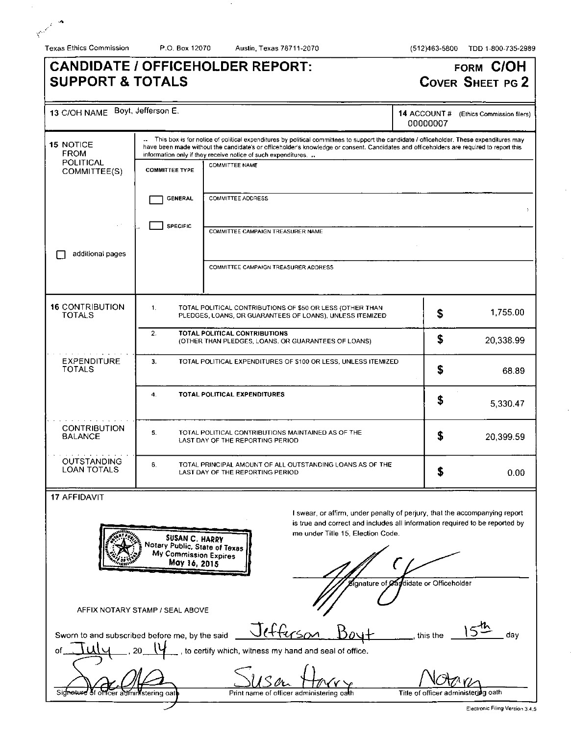**Burney** 

Texas Ethics Commission P.O. Box 12070 Austin, Texas 78711-2070 (512)463-5800 TDD 1-800-735-2989

# **CANDIDATE / OFFICEHOLDER REPORT: SUPPORT & TOTALS**

# **FORM C/OH COVER SHEET PG 2**

| 13 C/OH NAME Boyt, Jefferson E.                      |                                                                                                     |                                                                                                                                                                                                                                                                                                                                                      | 14 ACCOUNT#<br>00000007                | (Ethics Commission filers) |
|------------------------------------------------------|-----------------------------------------------------------------------------------------------------|------------------------------------------------------------------------------------------------------------------------------------------------------------------------------------------------------------------------------------------------------------------------------------------------------------------------------------------------------|----------------------------------------|----------------------------|
| <b>15 NOTICE</b><br><b>FROM</b>                      |                                                                                                     | This box is for notice of political expenditures by political committees to support the candidate / officeholder. These expenditures may<br>have been made without the candidate's or officeholder's knowledge or consent. Candidates and officeholders are required to report this<br>information only if they receive notice of such expenditures. |                                        |                            |
| <b>POLITICAL</b><br>COMMITTEE(S)                     | <b>COMMITTEE TYPE</b>                                                                               | <b>COMMITTEE NAME</b>                                                                                                                                                                                                                                                                                                                                |                                        |                            |
| <b>COMMITTEE ADDRESS</b><br><b>GENERAL</b>           |                                                                                                     |                                                                                                                                                                                                                                                                                                                                                      |                                        |                            |
|                                                      | <b>SPECIFIC</b>                                                                                     | <b>COMMITTEE CAMPAIGN TREASURER NAME</b>                                                                                                                                                                                                                                                                                                             |                                        |                            |
| additional pages                                     |                                                                                                     | COMMITTEE CAMPAIGN TREASURER ADDRESS                                                                                                                                                                                                                                                                                                                 |                                        |                            |
| <b>16 CONTRIBUTION</b><br><b>TOTALS</b>              | $\mathbf{1}$ .                                                                                      | TOTAL POLITICAL CONTRIBUTIONS OF \$50 OR LESS (OTHER THAN<br>PLEDGES, LOANS, OR GUARANTEES OF LOANS), UNLESS ITEMIZED                                                                                                                                                                                                                                | \$                                     | 1,755.00                   |
|                                                      | 2.                                                                                                  | TOTAL POLITICAL CONTRIBUTIONS<br>(OTHER THAN PLEDGES, LOANS, OR GUARANTEES OF LOANS)                                                                                                                                                                                                                                                                 | \$                                     | 20,338.99                  |
| <b>EXPENDITURE</b><br><b>TOTALS</b>                  | 3.<br>TOTAL POLITICAL EXPENDITURES OF \$100 OR LESS, UNLESS ITEMIZED.                               |                                                                                                                                                                                                                                                                                                                                                      |                                        | 68.89                      |
|                                                      | 4.                                                                                                  | TOTAL POLITICAL EXPENDITURES                                                                                                                                                                                                                                                                                                                         | S                                      | 5,330.47                   |
| <b>CONTRIBUTION</b><br><b>BALANCE</b>                | 5.                                                                                                  | TOTAL POLITICAL CONTRIBUTIONS MAINTAINED AS OF THE<br>LAST DAY OF THE REPORTING PERIOD                                                                                                                                                                                                                                                               | \$                                     | 20,399.59                  |
| <b>OUTSTANDING</b><br><b>LOAN TOTALS</b>             | 6.<br>TOTAL PRINCIPAL AMOUNT OF ALL OUTSTANDING LOANS AS OF THE<br>LAST DAY OF THE REPORTING PERIOD |                                                                                                                                                                                                                                                                                                                                                      |                                        | 0.00                       |
| <b>17 AFFIDAVIT</b>                                  | SUSAN C. HARRY<br>Notary Public, State of Texas<br>My Commission Expires<br>May 16, 2015            | I swear, or affirm, under penalty of perjury, that the accompanying report<br>is true and correct and includes all information required to be reported by<br>me under Title 15, Election Code.                                                                                                                                                       |                                        |                            |
|                                                      | AFFIX NOTARY STAMP / SEAL ABOVE                                                                     |                                                                                                                                                                                                                                                                                                                                                      | Signature of Cardidate or Officeholder |                            |
| Sworn to and subscribed before me, by the said<br>of |                                                                                                     | efferson<br>to certify which, witness my hand and seal of office.                                                                                                                                                                                                                                                                                    | this the                               | day                        |
|                                                      | stering oa                                                                                          | Print name of officer administering oath                                                                                                                                                                                                                                                                                                             | Title of officer administering oath    |                            |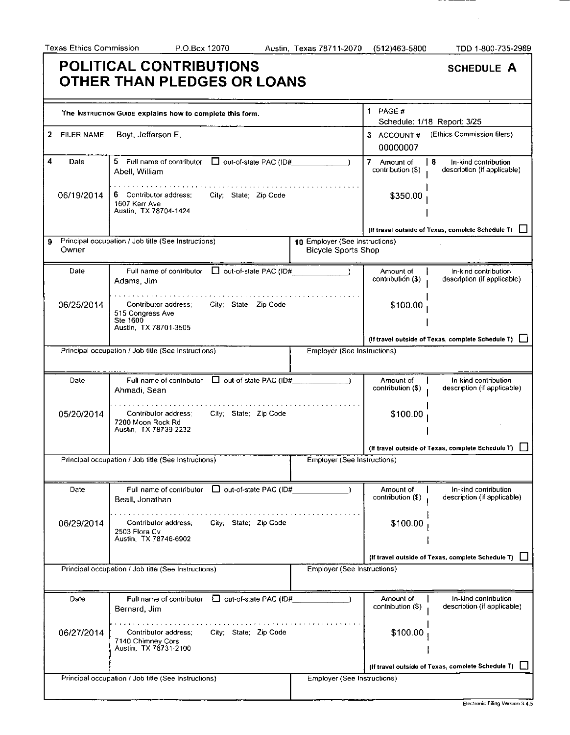## **POLITICAL CONTRIBUTIONS OTHER THAN PLEDGES OR LOANS**

| <b>SCHEDULE A</b> |  |
|-------------------|--|
|-------------------|--|

 $\sim$ 

---

|              | The INSTRUCTION GUIDE explains how to complete this form.                                   |                                                              | 1 PAGE $#$                       | Schedule: 1/18 Report: 3/25                               |
|--------------|---------------------------------------------------------------------------------------------|--------------------------------------------------------------|----------------------------------|-----------------------------------------------------------|
| 2 FILER NAME | Boyt, Jefferson E.                                                                          |                                                              | 3 ACCOUNT#<br>00000007           | (Ethics Commission filers)                                |
| 4<br>Date    | 5 Full name of contributor   out-of-state PAC (ID#<br>Abell, William                        |                                                              | 7 Amount of<br>contribution (\$) | -8<br>In-kind contribution<br>description (if applicable) |
| 06/19/2014   | 6 Contributor address:<br>City; State; Zip Code<br>1607 Ken Ave<br>Austin, TX 78704-1424    |                                                              | \$350.00                         |                                                           |
|              |                                                                                             |                                                              |                                  | (If travel outside of Texas, complete Schedule T)         |
| 9<br>Owner   | Principal occupation / Job title (See Instructions)                                         | 10 Employer (See Instructions)<br><b>Bicycle Sports Shop</b> |                                  |                                                           |
| Date         | out-of-state PAC (ID#<br>Full name of contributor<br>Adams, Jim                             |                                                              | Amount of<br>contribution (\$)   | In-kind contribution<br>description (if applicable)       |
| 06/25/2014   | City; State; Zip Code<br>Contributor address;<br>515 Congress Ave<br>Ste 1600               |                                                              | \$100.00                         |                                                           |
|              | Austin, TX 78701-3505                                                                       |                                                              |                                  |                                                           |
|              |                                                                                             |                                                              |                                  | (If travel outside of Texas, complete Schedule T)         |
|              | Principal occupation / Job title (See Instructions)                                         | Employer (See Instructions)                                  |                                  |                                                           |
| Date         | Full name of contributor<br>$\Box$ out-of-state PAC (ID#<br>Ahmadi, Sean                    |                                                              | Amount of<br>contribution (\$)   | In-kind contribution<br>description (if applicable)       |
| 05/20/2014   | Contributor address:<br>City; State; Zip Code<br>7200 Moon Rock Rd<br>Austin, TX 78739-2232 |                                                              | \$100.00                         |                                                           |
|              |                                                                                             |                                                              |                                  | (If travel outside of Texas, complete Schedule T)         |
|              | Principal occupation / Job title (See Instructions)                                         | <b>Employer (See Instructions)</b>                           |                                  |                                                           |
| Date         | $\Box$ out-of-state PAC (ID#<br>Full name of contributor<br>Beall, Jonathan                 |                                                              | Amount of<br>contribution (\$)   | In kind contribution<br>description (if applicable)       |
| 06/29/2014   | City; State; Zip Code<br>Contributor address;<br>2503 Flora Cv<br>Austin, TX 78746-6902     |                                                              | \$100.00                         |                                                           |
|              |                                                                                             |                                                              |                                  | (If travel outside of Texas, complete Schedule T)         |
|              | Principal occupation / Job title (See Instructions)                                         | Employer (See Instructions)                                  |                                  |                                                           |
| Date         | out-of-state PAC (ID#<br>Full name of contributor<br>Bernard, Jim                           |                                                              | Amount of<br>contribution (\$)   | In-kind contribution<br>description (if applicable)       |
| 06/27/2014   | City; State; Zip Code<br>Contributor address;<br>7140 Chimney Cors<br>Austin, TX 78731-2100 |                                                              | \$100.00                         |                                                           |
|              |                                                                                             |                                                              |                                  | (If travel outside of Texas, complete Schedule T)         |
|              | Principal occupation / Job title (See Instructions)                                         | <b>Employer (See Instructions)</b>                           |                                  |                                                           |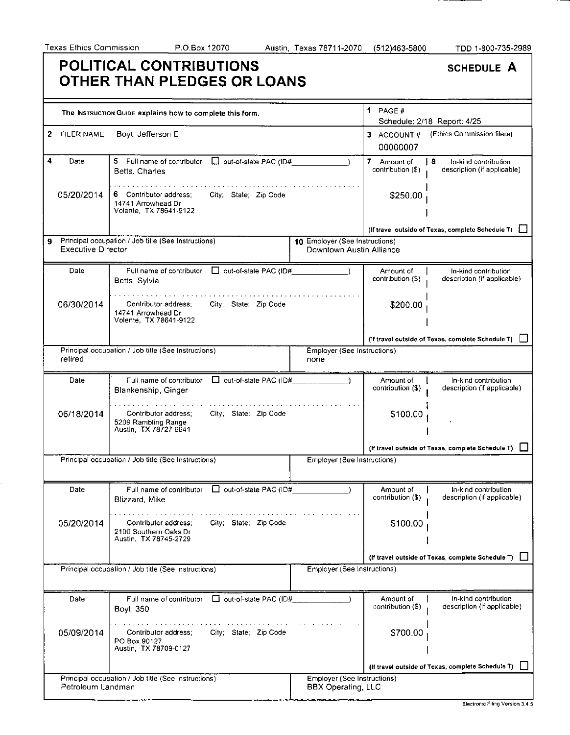|                                | POLITICAL CONTRIBUTIONS<br>OTHER THAN PLEDGES OR LOANS                                          |                                                            |                                      | <b>SCHEDULE A</b>                                          |
|--------------------------------|-------------------------------------------------------------------------------------------------|------------------------------------------------------------|--------------------------------------|------------------------------------------------------------|
|                                | The INSTRUCTION GUIDE explains how to complete this form.                                       |                                                            | 1 PAGE $#$                           | Schedule: 2/18 Report: 4/25                                |
| 2<br>FILER NAME                | Boyt, Jefferson E.                                                                              |                                                            | 3 ACCOUNT#<br>00000007               | (Ethics Commission filers)                                 |
| 4<br>Date                      | 5.<br>Full name of contributor<br>out-of-state PAC (ID#<br>Betts, Charles                       |                                                            | 7.<br>Amount of<br>contribution (\$) | l 8<br>In-kind contribution<br>description (if applicable) |
| 05/20/2014                     | Contributor address:<br>City; State; Zip Code<br>14741 Arrowhead Dr<br>Volente, TX 78641-9122   |                                                            | \$250.00                             |                                                            |
|                                |                                                                                                 |                                                            |                                      | (If travel outside of Texas, complete Schedule T)          |
| 9<br><b>Executive Director</b> | Principal occupation / Job title (See Instructions)                                             | 10 Employer (See Instructions)<br>Downtown Austin Alliance |                                      |                                                            |
| Date                           | $\Box$ out-of-state PAC (ID#<br>Full name of contributor<br>Betts, Sylvia                       |                                                            | Amount of<br>contribution (\$)       | In-kind contribution<br>description (if applicable)        |
| 06/30/2014                     | Contributor address:<br>City; State: Zip Code<br>14741 Arrowhead Dr<br>Volente, TX 78641-9122   |                                                            | \$200.00                             |                                                            |
|                                |                                                                                                 |                                                            |                                      | (If travel outside of Texas, complete Schedule T)          |
| retired                        | Principal occupation / Job title (See Instructions)                                             | Employer (See Instructions)<br>none                        |                                      |                                                            |
| Date                           | out-of-state PAC (ID#<br>Full name of contributor<br>Blankenship, Ginger                        |                                                            | Amount of<br>contribution (\$)       | In-kind contribution<br>description (if applicable)        |
| 06/18/2014                     | City; State; Zip Code<br>Contributor address;<br>5209 Rambling Range<br>Austin, TX 78727-6641   |                                                            | \$100.00                             |                                                            |
|                                |                                                                                                 |                                                            |                                      | (If travel outside of Texas, complete Schedule T)          |
|                                | Principal occupation / Job title (See Instructions)                                             | Employer (See Instructions)                                |                                      |                                                            |
| Date                           | $\Box$ out-of-state PAC (ID#<br>Full name of contributor<br><b>Blizzard Mike</b>                |                                                            | Amount of<br>contribution (\$)       | In-kind contribution<br>description (if applicable)        |
| 05/20/2014                     | City; State; Zip Code<br>Contributor address:<br>2100 Southern Oaks Dr<br>Austin, TX 78745-2729 |                                                            | \$100.00                             |                                                            |
|                                |                                                                                                 |                                                            |                                      | (if travel outside of Texas, complete Schedule T)          |
|                                | Principal occupation / Job title (See Instructions)                                             | <b>Employer (See Instructions)</b>                         |                                      |                                                            |
| Date                           | $\Box$ out-of-state PAC (ID#<br>Full name of contributor<br>Boyt, 350                           |                                                            | Amount of<br>contribution (\$)       | In-kind contribution<br>description (if applicable)        |
| 05/09/2014                     | City; State; Zip Code<br>Contributor address;<br>PO Box 90127<br>Austin, TX 78709-0127          |                                                            | \$700.00                             |                                                            |
|                                |                                                                                                 |                                                            |                                      |                                                            |
|                                | Principal occupation / Job title (See Instructions)                                             | Employer (See Instructions)                                |                                      | (If travel outside of Texas, complete Schedule T)          |
| Petroleum Landman              |                                                                                                 | <b>BBX Operating, LLC</b>                                  |                                      |                                                            |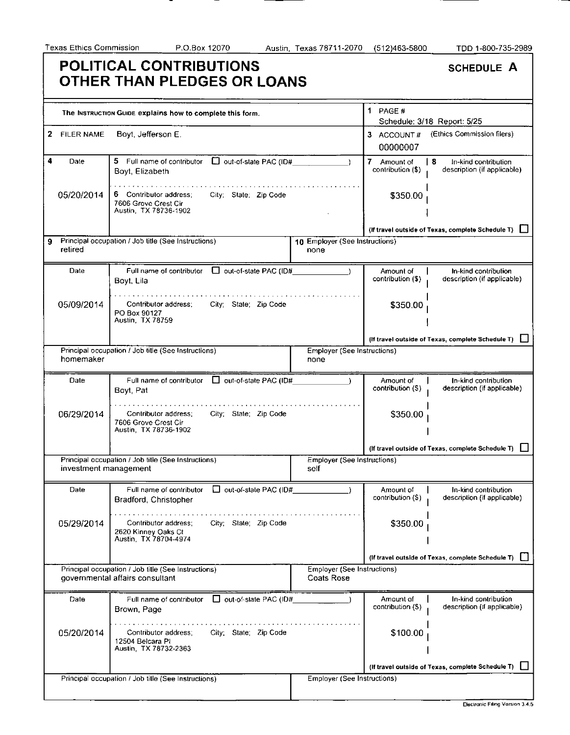#### **POLITICAL CONTRIBUTIONS OTHER THAN PLEDGES OR LOANS**

| <b>SCHEDULE A</b> |  |
|-------------------|--|
|                   |  |

|              |                       | The INSTRUCTION GUIDE explains how to complete this form.                                        |                                                  | 1 PAGE#                          | Schedule: 3/18 Report: 5/25                              |
|--------------|-----------------------|--------------------------------------------------------------------------------------------------|--------------------------------------------------|----------------------------------|----------------------------------------------------------|
| $\mathbf{2}$ | FILER NAME            | Boyt, Jefferson E.                                                                               |                                                  | 3 ACCOUNT#<br>00000007           | (Ethics Commission filers)                               |
| 4            | Date                  | 5 Full name of contributor D out-of-state PAC (ID#<br>Boyt, Elizabeth                            |                                                  | 7 Amount of<br>contribution (\$) | 8<br>In-kind contribution<br>description (if applicable) |
|              | 05/20/2014            | 6 Contributor address;<br>City; State; Zip Code<br>7606 Grove Crest Cir<br>Austin, TX 78736-1902 |                                                  | \$350.00                         |                                                          |
|              |                       |                                                                                                  |                                                  |                                  | (If travel outside of Texas, complete Schedule T)        |
| 9            | retired               | Principal occupation / Job title (See Instructions)                                              | 10 Employer (See Instructions)<br>none           |                                  |                                                          |
|              | Date                  | Full name of contributor □ out-of-state PAC (ID#<br>Boyt, Lila                                   |                                                  | Amount of<br>contribution (\$)   | In-kind contribution<br>description (if applicable)      |
|              | 05/09/2014            | Contributor address:<br>City; State; Zip Code<br>PO Box 90127<br>Austin, TX 78759                |                                                  | \$350.00                         |                                                          |
|              |                       |                                                                                                  |                                                  |                                  | (If travel outside of Texas, complete Schedule T)        |
|              | homemaker             | Principal occupation / Job title (See Instructions)                                              | <b>Employer (See Instructions)</b><br>none       |                                  |                                                          |
|              | Date                  | Full name of contributor □ out-of-state PAC (ID#<br>Boyt, Pat                                    |                                                  | Amount of<br>contribution (\$)   | In-kind contribution<br>description (if applicable)      |
|              | 06/29/2014            | Contributor address:<br>City; State; Zip Code<br>7606 Grove Crest Cir<br>Austin, TX 78736-1902   |                                                  | \$350.00                         |                                                          |
|              |                       |                                                                                                  |                                                  |                                  | (If travel outside of Texas, complete Schedule T)        |
|              | investment management | Principal occupation / Job title (See Instructions)                                              | <b>Employer (See Instructions)</b><br>self       |                                  |                                                          |
|              | Date                  | $\Box$ out-of-state PAC (ID#<br>Full name of contributor<br>Bradford, Christopher                |                                                  | Amount of<br>contribution (\$)   | In kind contribution<br>description (if applicable)      |
|              | 05/29/2014            | Contributor address;<br>City; State; Zip Code<br>2620 Kinney Oaks Ct<br>Austin TX 78704-4974     |                                                  | \$350.00                         |                                                          |
|              |                       |                                                                                                  |                                                  |                                  | (If travel outside of Texas, complete Schedule T)        |
|              |                       | Principal occupation / Job title (See Instructions)<br>governmental affairs consultant           | Employer (See Instructions)<br><b>Coats Rose</b> |                                  |                                                          |
|              | Date                  | out-of-state PAC (ID#<br>Full name of contributor<br>Brown, Page                                 |                                                  | Amount of<br>contribution (\$)   | In-kind contribution<br>description (if applicable)      |
|              | 05/20/2014            | City; State; Zip Code<br>Contributor address;<br>12504 Belcara PI<br>Austin, TX 78732-2363       |                                                  | \$100.00                         |                                                          |
|              |                       |                                                                                                  |                                                  |                                  | (If travel outside of Texas, complete Schedule T)        |
|              |                       | Principal occupation / Job title (See Instructions)                                              | <b>Employer (See Instructions)</b>               |                                  |                                                          |
|              |                       |                                                                                                  |                                                  |                                  |                                                          |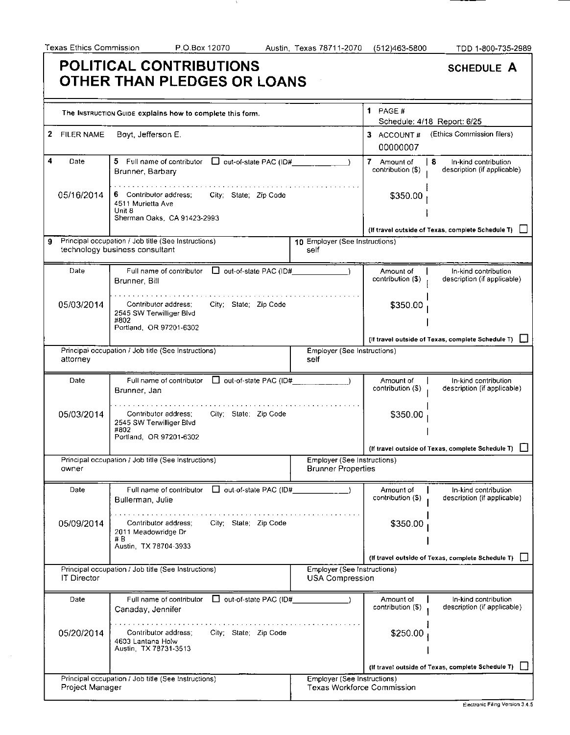$\sim$   $\sim$ 

A.

| Texas Ethics Commission    | P.O.Box 12070                                                                                                 | Austin, Texas 78711-2070                                         | (512)463-5800                    | TDD 1-800-735-2989                                        |
|----------------------------|---------------------------------------------------------------------------------------------------------------|------------------------------------------------------------------|----------------------------------|-----------------------------------------------------------|
|                            | <b>POLITICAL CONTRIBUTIONS</b><br>OTHER THAN PLEDGES OR LOANS                                                 |                                                                  |                                  | <b>SCHEDULE A</b>                                         |
|                            | The INSTRUCTION GUIDE explains how to complete this form.                                                     |                                                                  | 1 PAGE $#$                       | Schedule: 4/18 Report: 6/25                               |
| $\mathbf{2}$<br>FILER NAME | Boyt, Jefferson E.                                                                                            |                                                                  | 3 ACCOUNT#<br>00000007           | (Ethics Commission filers)                                |
| 4<br>Date                  | 5 Full name of contributor   out-of-state PAC (ID#<br>Brunner, Barbary                                        |                                                                  | 7 Amount of<br>contribution (\$) | -8<br>In-kind contribution<br>description (if applicable) |
| 05/16/2014                 | 6 Contributor address:<br>City; State; Zip Code<br>4511 Murietta Ave<br>Unit 8<br>Sherman Oaks, CA 91423-2993 |                                                                  | \$350.00                         |                                                           |
|                            |                                                                                                               |                                                                  |                                  | (If travel outside of Texas, complete Schedule T)         |
| 9                          | Principal occupation / Job title (See Instructions)<br>technology business consultant                         | 10 Employer (See Instructions)<br>self                           |                                  |                                                           |
| Date                       | Full name of contributor   out-of-state PAC (ID#<br>Brunner, Bill                                             |                                                                  | Amount of<br>contribution (\$)   | In-kind contribution<br>description (if applicable)       |
| 05/03/2014                 | Contributor address:<br>City; State; Zip Code<br>2545 SW Terwilliger Blvd<br>#802                             |                                                                  | \$350.00                         |                                                           |
|                            | Portland, OR 97201-6302                                                                                       |                                                                  |                                  | (If travel outside of Texas, complete Schedule T) [       |
| attorney                   | Principal occupation / Job title (See Instructions)                                                           | Employer (See Instructions)<br>self                              |                                  |                                                           |
| Date                       | out-of-state PAC (ID#<br>Full name of contributor<br>Brunner, Jan                                             |                                                                  | Amount of<br>contribution (\$)   | In-kind contribution<br>description (if applicable)       |
| 05/03/2014                 | Contributor address;<br>City; State; Zip Code<br>2545 SW Terwilliger Blvd<br>#802<br>Portland, OR 97201-6302  |                                                                  | \$350.00                         |                                                           |
|                            |                                                                                                               |                                                                  |                                  | (If travel outside of Texas, complete Schedule T)         |
| owner                      | Principal occupation / Job title (See Instructions)                                                           | Employer (See Instructions)<br><b>Brunner Properties</b>         |                                  |                                                           |
| Date                       | Full name of contributor   out-of-state PAC (ID#<br>Bullerman, Julie                                          |                                                                  | Amount of<br>contribution (\$)   | In-kind contribution<br>description (if applicable)       |
| 05/09/2014                 | City; State; Zip Code<br>Contributor address;<br>2011 Meadowridge Dr<br># B<br>Austin, TX 78704-3933          |                                                                  | \$350.00                         |                                                           |
|                            |                                                                                                               |                                                                  |                                  | (If travel outside of Texas, complete Schedule T)         |
|                            | Principal occupation / Job title (See Instructions)                                                           | Employer (See Instructions)                                      |                                  |                                                           |
| IT Director                |                                                                                                               | <b>USA Compression</b>                                           |                                  |                                                           |
| Date                       | □ out-of-state PAC (ID#<br>Full name of contributor<br>Canaday, Jennifer                                      |                                                                  | Amount of<br>contribution (\$)   | In-kind contribution<br>description (if applicable)       |
| 05/20/2014                 | City; State; Zip Code<br>Contributor address:<br>4603 Lantana Holw<br>Austin, TX 78731-3513                   |                                                                  | \$250.00                         |                                                           |
|                            |                                                                                                               |                                                                  |                                  | (If travel outside of Texas, complete Schedule T)         |
| Project Manager            | Principal occupation / Job title (See Instructions)                                                           | Employer (See Instructions)<br><b>Texas Workforce Commission</b> |                                  |                                                           |
|                            |                                                                                                               |                                                                  |                                  |                                                           |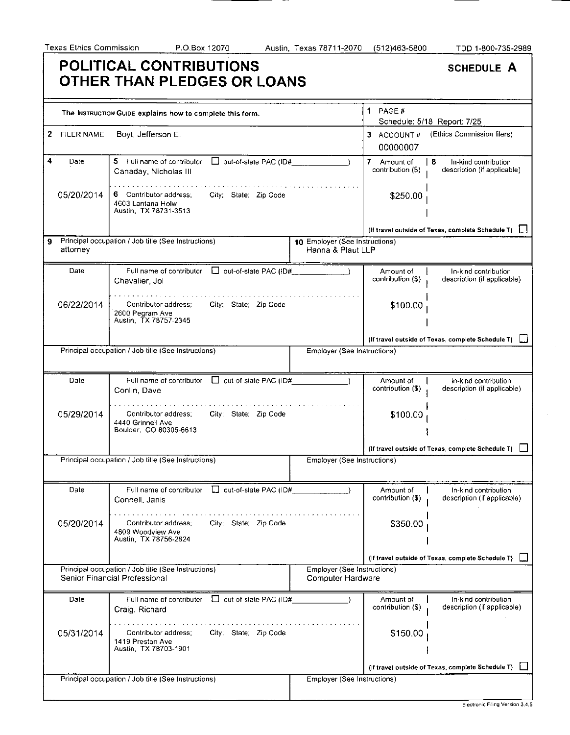<u>—</u>

|                                     | POLITICAL CONTRIBUTIONS<br>OTHER THAN PLEDGES OR LOANS                                        |                                                     |                                      | <b>SCHEDULE A</b>                                        |
|-------------------------------------|-----------------------------------------------------------------------------------------------|-----------------------------------------------------|--------------------------------------|----------------------------------------------------------|
|                                     | The INSTRUCTION GUIDE explains how to complete this form.                                     |                                                     | 1 PAGE $#$                           | Schedule: 5/18 Report: 7/25                              |
| $\mathbf{2}^-$<br><b>FILER NAME</b> | Boyt, Jefferson E.                                                                            |                                                     | 3 ACCOUNT#<br>00000007               | (Ethics Commission filers)                               |
| 4<br>Date                           | 5 Full name of contributor<br>$\Box$ out-of-state PAC (ID#<br>Canaday, Nicholas III           |                                                     | 7.<br>Amount of<br>contribution (\$) | 8<br>In-kind contribution<br>description (if applicable) |
| 05/20/2014                          | 6 Contributor address:<br>City: State: Zip Code<br>4603 Lantana Holw<br>Austin, TX 78731-3513 |                                                     | \$250.00                             |                                                          |
|                                     |                                                                                               |                                                     |                                      | (If travel outside of Texas, complete Schedule T)        |
| attorney                            | Principal occupation / Job title (See Instructions)                                           | 10 Employer (See Instructions)<br>Hanna & Plaut LLP |                                      |                                                          |
| Date                                | $\Box$ out-of-state PAC (ID#<br>Full name of contributor<br>Chevalier, Joi                    |                                                     | Amount of<br>contribution (\$)       | In-kind contribution<br>description (if applicable)      |
| 06/22/2014                          | Contributor address;<br>City; State; Zip Code<br>2600 Pegram Ave<br>Austin, TX 78757-2345     |                                                     | \$100.00                             |                                                          |
|                                     |                                                                                               |                                                     |                                      | (If travel outside of Texas, complete Schedule T)        |
|                                     | Principal occupation / Job title (See Instructions)                                           | Employer (See Instructions)                         |                                      |                                                          |
| Date                                | out-of-state PAC (ID#<br>Full name of contributor<br>Conlin, Dave                             |                                                     | Amount of<br>contribution (\$)       | In-kind contribution<br>description (if applicable)      |
| 05/29/2014                          | Contributor address;<br>City; State; Zip Code<br>4440 Grinnell Ave<br>Boulder, CO 80305-6613  |                                                     | \$100.00                             |                                                          |
|                                     |                                                                                               |                                                     |                                      | (If travel outside of Texas, complete Schedule T)        |
|                                     | Principal occupation / Job title (See Instructions)                                           | Employer (See Instructions)                         |                                      |                                                          |
| Date                                | Full name of contributor<br>U out-of-state PAC (ID#<br>Connell, Janis                         |                                                     | Amount of<br>contribution (\$)       | In-kind contribution<br>description (if applicable)      |
| 05/20/2014                          | Contributor address:<br>City; State; Zip Code<br>4809 Woodview Ave<br>Austin, TX 78756-2824   |                                                     | \$350.00                             |                                                          |
|                                     |                                                                                               |                                                     |                                      | (If travel outside of Texas, complete Schedule T)        |
|                                     | Principal occupation / Job title (See Instructions)<br>Senior Financial Professional          | Employer (See Instructions)<br>Computer Hardware    |                                      |                                                          |
| Date                                | O out-of-state PAC (ID#<br>Full name of contributor<br>Craig, Richard                         |                                                     | Amount of<br>contribution (\$)       | In-kind contribution<br>description (if applicable)      |
| 05/31/2014                          | City; State; Zip Code<br>Contributor address;<br>1419 Preston Ave<br>Austin, TX 78703-1901    |                                                     | \$150.00                             |                                                          |
|                                     |                                                                                               |                                                     |                                      | (If travel outside of Texas, complete Schedule T)        |
|                                     | Principal occupation / Job title (See Instructions)                                           | Employer (See Instructions)                         |                                      |                                                          |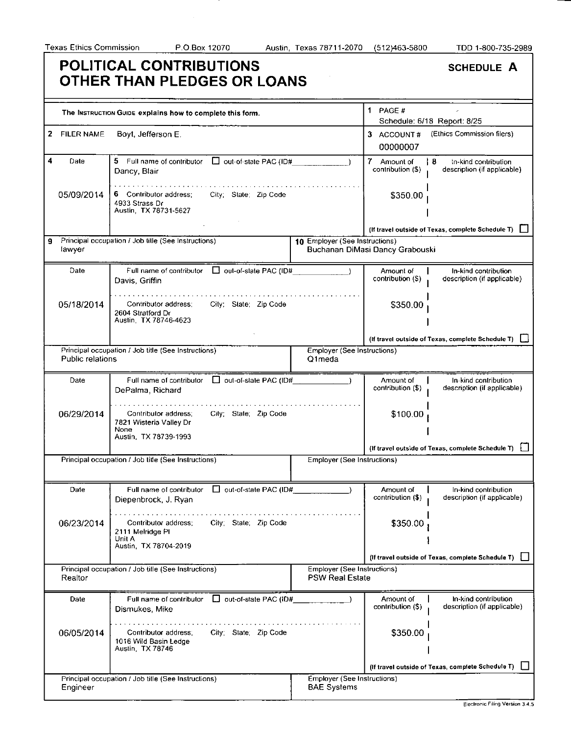$\mathcal{A}^{\mathcal{A}}$ 

|                        | POLITICAL CONTRIBUTIONS<br>OTHER THAN PLEDGES OR LOANS                                                    |                                                              |                                  | <b>SCHEDULE A</b>                                          |
|------------------------|-----------------------------------------------------------------------------------------------------------|--------------------------------------------------------------|----------------------------------|------------------------------------------------------------|
|                        | The INSTRUCTION GUIDE explains how to complete this form.                                                 |                                                              | 1 PAGE $#$                       | Schedule: 6/18 Report: 8/25                                |
| 2<br><b>FILER NAME</b> | Boyt, Jefferson E.                                                                                        |                                                              | 3 ACCOUNT#<br>00000007           | (Ethics Commission filers)                                 |
| 4<br>Date              | 5 Full name of contributor<br>$\Box$ out-of-state PAC (ID#<br>Dancy, Blair                                |                                                              | 7 Amount of<br>contribution (\$) | l 8<br>tn-kind contribution<br>description (if applicable) |
| 05/09/2014             | 6 Contributor address;<br>City; State; Zip Code<br>4933 Strass Dr<br>Austin, TX 78731-5627                |                                                              | \$350.00                         |                                                            |
|                        |                                                                                                           |                                                              |                                  | (If travel outside of Texas, complete Schedule T)          |
| 9<br>lawyer            | Principal occupation / Job title (See Instructions)                                                       | 10 Employer (See Instructions)                               | Buchanan DiMasi Dancy Grabouski  |                                                            |
| Date                   | $\Box$ out-of-state PAC (ID#<br>Full name of contributor<br>Davis, Griffin                                |                                                              | Amount of<br>contribution (S)    | In-kind contribution<br>description (if applicable)        |
| 05/18/2014             | Contributor address;<br>City; State; Zip Code<br>2604 Stratford Dr<br>Austin, TX 78746-4623               |                                                              | \$350.00                         |                                                            |
|                        |                                                                                                           |                                                              |                                  | (If travel outside of Texas, complete Schedule T)          |
| Public relations       | Principal occupation / Job title (See Instructions)                                                       | Employer (See Instructions)<br>Q1meda                        |                                  |                                                            |
| Date                   | Full name of contributor   out-of-state PAC (ID#<br>DePalma, Richard                                      |                                                              | Amount of<br>contribution (\$)   | In-kind contribution<br>description (if applicable)        |
| 06/29/2014             | Contributor address;<br>City; State; Zip Code<br>7821 Wisteria Valley Dr<br>None<br>Austin, TX 78739-1993 |                                                              | \$100.00                         |                                                            |
|                        |                                                                                                           |                                                              |                                  | (If travel outside of Texas, complete Schedule T)          |
|                        | Principal occupation / Job title (See Instructions)                                                       | Employer (See Instructions)                                  |                                  |                                                            |
| Date                   | $\Box$ out-of-state PAC (ID#<br>Full name of contributor<br>Diepenbrock, J. Ryan                          |                                                              | Amount of<br>contribution (\$)   | In-kind contribution<br>description (if applicable)        |
| 06/23/2014             | City; State; Zip Code<br>Contributor address;<br>2111 Melridge PI<br>Unit A<br>Austin TX 78704-2019       |                                                              | \$350.00                         |                                                            |
|                        |                                                                                                           |                                                              |                                  | (If travel outside of Texas, complete Schedule T) [        |
| Realtor                | Principal occupation / Job title (See Instructions)                                                       | <b>Employer (See Instructions)</b><br><b>PSW Real Estate</b> |                                  |                                                            |
| Date                   | $\Box$ out-of-state PAC (ID#<br>Full name of contributor<br>Dismukes, Mike                                |                                                              | Amount of<br>contribution (\$)   | In-kind contribution<br>description (if applicable)        |
| 06/05/2014             | City; State; Zip Code<br>Contributor address;<br>1016 Wild Basin Ledge<br>Austin, TX 78746                |                                                              | \$350.00                         |                                                            |
|                        |                                                                                                           |                                                              |                                  | (If travel outside of Texas, complete Schedule T)          |
|                        | Principal occupation / Job title (See Instructions)                                                       | Employer (See Instructions)                                  |                                  |                                                            |
| Engineer               |                                                                                                           | <b>BAE Systems</b>                                           |                                  |                                                            |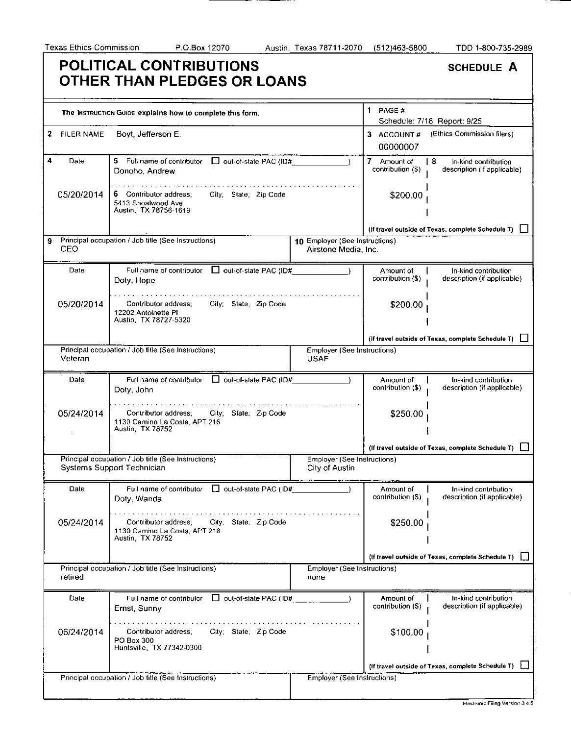=  $-$ 

|              | POLITICAL CONTRIBUTIONS<br>OTHER THAN PLEDGES OR LOANS                                             |                                                        |                                  | <b>SCHEDULE A</b>                                          |
|--------------|----------------------------------------------------------------------------------------------------|--------------------------------------------------------|----------------------------------|------------------------------------------------------------|
|              | The INSTRUCTION GUIDE explains how to complete this form.                                          |                                                        | 1 PAGE $#$                       |                                                            |
| 2 FILER NAME | Boyt, Jefferson E.                                                                                 |                                                        | 3 ACCOUNT#<br>00000007           | Schedule: 7/18 Report: 9/25<br>(Ethics Commission filers)  |
| 4<br>Date    | 5 Full name of contributor<br>$\Box$ out-of-state PAC (ID#<br>Donoho, Andrew                       |                                                        | 7 Amount of<br>contribution (\$) | l 8<br>In-kind contribution<br>description (if applicable) |
| 05/20/2014   | 6 Contributor address;<br>City, State, Zip Code<br>5413 Shoalwood Ave<br>Austin, TX 78756-1619     |                                                        | \$200.00                         |                                                            |
|              |                                                                                                    |                                                        |                                  | (If travel outside of Texas, complete Schedule T)          |
| 9<br>CEO     | Principal occupation / Job title (See Instructions)                                                | 10 Employer (See Instructions)<br>Airstone Media, Inc. |                                  |                                                            |
| Date         | Full name of contributor   out-of-state PAC (ID#<br>Doty, Hope                                     |                                                        | Amount of<br>contribution (\$)   | In-kind contribution<br>description (if applicable)        |
| 05/20/2014   | Contributor address;<br>City; State; Zip Code<br>12202 Antoinette PI<br>Austin, TX 78727-5320      |                                                        | \$200.00                         |                                                            |
|              |                                                                                                    |                                                        |                                  | (If travel outside of Texas, complete Schedule T)          |
| Veteran      | Principal occupation / Job title (See Instructions)                                                | <b>Employer (See Instructions)</b><br><b>USAF</b>      |                                  |                                                            |
| Date         | Full name of contributor □ out-of-state PAC (ID#<br>Doty, John                                     |                                                        | Amount of<br>contribution (\$)   | In-kind contribution<br>description (if applicable)        |
| 05/24/2014   | Contributor address:<br>City; State; Zip Code<br>1130 Camino La Costa, APT 216<br>Austin TX 78752  |                                                        | \$250.00                         |                                                            |
|              |                                                                                                    |                                                        |                                  | (If travel outside of Texas, complete Schedule T)          |
|              | Principal occupation / Job title (See Instructions)<br>Systems Support Technician                  | <b>Employer (See Instructions)</b><br>City of Austin   |                                  |                                                            |
| Date         | Full name of contributor   out-of-state PAC (ID#<br>Doty, Wanda                                    |                                                        | Amount of<br>contribution (\$)   | In-kind contribution<br>description (if applicable)        |
| 05/24/2014   | Contributor address:<br>City; State; Zip Code<br>1130 Camino La Costa, APT 216<br>Austin, TX 78752 |                                                        | \$250.00                         |                                                            |
|              |                                                                                                    |                                                        |                                  | (If travel outside of Texas, complete Schedule T)          |
| retired      | Principal occupation / Job title (See Instructions)                                                | <b>Employer (See Instructions)</b><br>none             |                                  |                                                            |
| Date         | Full name of contributor $\Box$ out-of-state PAC (ID#<br>Ernst, Sunny                              |                                                        | Amount of<br>contribution (\$)   | In-kind contribution<br>description (if applicable)        |
| 06/24/2014   | City; State; Zip Code<br>Contributor address;<br>PO Box 300<br>Huntsville, TX 77342-0300           |                                                        | \$100.00                         |                                                            |
|              |                                                                                                    |                                                        |                                  | (If travel outside of Texas, complete Schedule T)          |
|              | Principal occupation / Job title (See Instructions)                                                | <b>Employer (See Instructions)</b>                     |                                  |                                                            |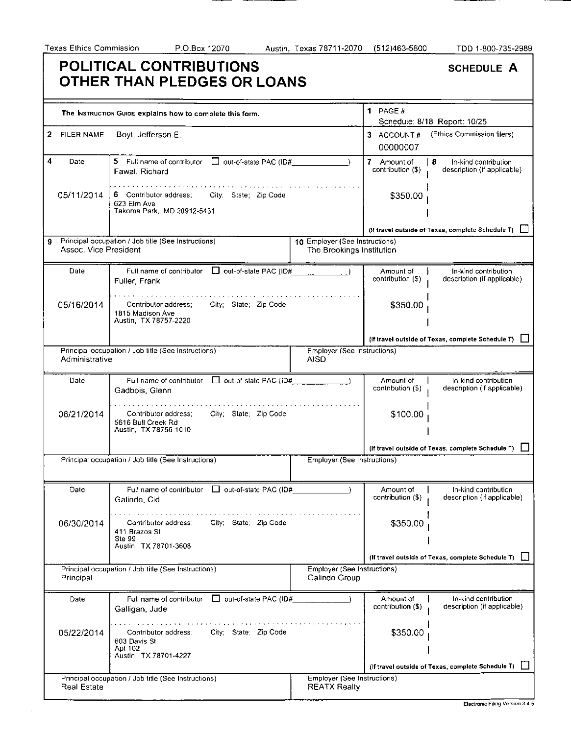|                            | POLITICAL CONTRIBUTIONS<br>OTHER THAN PLEDGES OR LOANS                                           |                                                             |                                  | <b>SCHEDULE A</b>                                          |
|----------------------------|--------------------------------------------------------------------------------------------------|-------------------------------------------------------------|----------------------------------|------------------------------------------------------------|
|                            | The INSTRUCTION GUIDE explains how to complete this form.                                        |                                                             | $1$ PAGE #                       |                                                            |
| <b>FILER NAME</b><br>2     | Boyt, Jefferson E.                                                                               |                                                             | 3 ACCOUNT#<br>00000007           | Schedule: 8/18 Report: 10/25<br>(Ethics Commission filers) |
| 4<br>Date                  | 5 Full name of contributor<br>$\Box$ out-of-state PAC (ID#<br>Fawal, Richard                     |                                                             | 7 Amount of<br>contribution (\$) | -8<br>In-kind contribution<br>description (if applicable)  |
| 05/11/2014                 | 6 Contributor address;<br>City; State; Zip Code<br>623 Elm Ave<br>Takoma Park, MD 20912-5431     |                                                             | \$350.00                         |                                                            |
|                            |                                                                                                  |                                                             |                                  | (If travel outside of Texas, complete Schedule T) [        |
| 9<br>Assoc. Vice President | Principal occupation / Job title (See Instructions)                                              | 10 Employer (See Instructions)<br>The Brookings Institution |                                  |                                                            |
| Date                       | Full name of contributor $\Box$ out-of-state PAC (ID#<br>Fuller, Frank                           |                                                             | Amount of<br>contribution (\$)   | In-kind contribution<br>description (if applicable)        |
| 05/16/2014                 | City; State; Zip Code<br>Contributor address:<br>1815 Madison Ave<br>Austin, TX 78757-2220       |                                                             | \$350.00                         |                                                            |
|                            |                                                                                                  |                                                             |                                  | (If travel outside of Texas, complete Schedule T)          |
| Administrative             | Principal occupation / Job title (See Instructions)                                              | Employer (See Instructions)<br><b>AISD</b>                  |                                  |                                                            |
| Date                       | Full name of contributor □ out-of-state PAC (iD#__________<br>Gadbois, Glenn                     |                                                             | Amount of<br>contribution (\$)   | In-kind contribution<br>description (if applicable)        |
| 06/21/2014                 | City; State; Zip Code<br>Contributor address;<br>5616 Bull Creek Rd<br>Austin, TX 78756-1010     |                                                             | \$100.00                         |                                                            |
|                            |                                                                                                  |                                                             |                                  | (If travel outside of Texas, complete Schedule T)          |
|                            | Principal occupation / Job title (See Instructions)                                              | Employer (See Instructions)                                 |                                  |                                                            |
| Date                       | Full name of contributor $\Box$ out-of-state PAC (ID#<br>Galindo, Cid                            |                                                             | Amount of<br>contribution (\$)   | In-kind contribution<br>description (if applicable)        |
| 06/30/2014                 | City; State; Zip Code<br>Contributor address:<br>411 Brazos St<br>Ste 99<br>Austin TX 78701-3608 |                                                             | \$350.00                         |                                                            |
|                            |                                                                                                  |                                                             |                                  | (If travel outside of Texas, complete Schedule T)          |
| Principal                  | Principal occupation / Job title (See Instructions)                                              | Employer (See Instructions)<br>Galindo Group                |                                  |                                                            |
| Date                       | Full name of contributor $\Box$ out-of-state PAC (ID#<br>Galligan, Jude                          |                                                             | Amount of<br>contribution (\$)   | In-kind contribution<br>description (if applicable)        |
| 05/22/2014                 | City; State; Zip Code<br>Contributor address;<br>603 Davis St<br>Apt 102                         |                                                             | \$350.00                         |                                                            |
|                            | Austin TX 78701-4227                                                                             |                                                             |                                  |                                                            |
|                            | Principal occupation / Job title (See Instructions)                                              | Employer (See Instructions)                                 |                                  | (If travel outside of Texas, complete Schedule T) [        |
| <b>Real Estate</b>         |                                                                                                  | <b>REATX Realty</b>                                         |                                  |                                                            |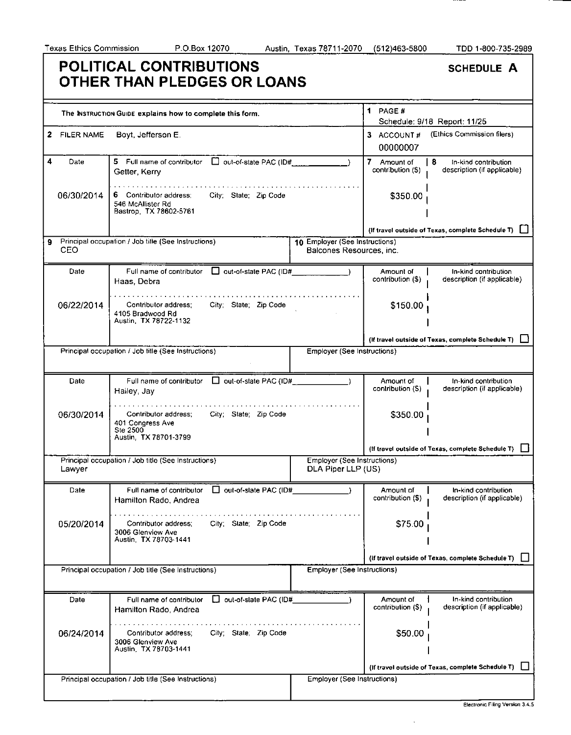-----

|                        | POLITICAL CONTRIBUTIONS<br>OTHER THAN PLEDGES OR LOANS                                                 |                                                            |                                  | <b>SCHEDULE A</b>                                          |
|------------------------|--------------------------------------------------------------------------------------------------------|------------------------------------------------------------|----------------------------------|------------------------------------------------------------|
|                        | The INSTRUCTION GUIDE explains how to complete this form.                                              |                                                            | 1 PAGE #                         | Schedule: 9/18 Report: 11/25                               |
| 2<br><b>FILER NAME</b> | Boyt, Jefferson E.                                                                                     |                                                            | 3 ACCOUNT#<br>00000007           | (Ethics Commission filers)                                 |
| 4<br>Date              | 5.<br>Full name of contributor<br>Getter, Kerry                                                        |                                                            | 7 Amount of<br>contribution (\$) | l 8<br>In-kind contribution<br>description (if applicable) |
| 06/30/2014             | 6 Contributor address:<br>City; State; Zip Code<br>546 McAllister Rd<br>Bastrop, TX 78602-5761         |                                                            | \$350.00                         |                                                            |
|                        |                                                                                                        |                                                            |                                  | (If travel outside of Texas, complete Schedule T) [        |
| 9.<br>CEO              | Principal occupation / Job title (See Instructions)                                                    | 10 Employer (See Instructions)<br>Balcones Resources, inc. |                                  |                                                            |
| Date                   | $\Box$ out-of-state PAC (ID#<br>Full name of contributor<br>Haas, Debra                                |                                                            | Amount of<br>contribution (\$)   | In-kind contribution<br>description (if applicable)        |
| 06/22/2014             | City: State: Zip Code<br>Contributor address:<br>4105 Bradwood Rd<br>Austin, TX 78722-1132             |                                                            | \$150.00                         |                                                            |
|                        |                                                                                                        |                                                            |                                  | (If travel outside of Texas, complete Schedule T)          |
|                        | Principal occupation / Job title (See Instructions)                                                    | <b>Employer (See Instructions)</b>                         |                                  |                                                            |
| Date                   | Full name of contributor<br>$\Box$ out-of-state PAC (ID#<br>Hailey, Jay                                |                                                            | Amount of<br>contribution (S)    | In-kind contribution<br>description (if applicable)        |
| 06/30/2014             | Contributor address:<br>City; State; Zip Code<br>401 Congress Ave<br>Ste 2500<br>Austin, TX 78701-3799 |                                                            | \$350.00                         |                                                            |
|                        |                                                                                                        |                                                            |                                  | (if travel outside of Texas, complete Schedule T)          |
| Lawyer                 | Principal occupation / Job title (See Instructions)                                                    | Employer (See Instructions)<br>DLA Piper LLP (US)          |                                  |                                                            |
| Date                   | out-of-slate PAC (ID#<br>Full name of contributor<br>Hamilton Rado, Andrea                             |                                                            | Amount of<br>contribution (\$)   | In-kind contribution<br>description (if applicable)        |
| 05/20/2014             | City; State; Zip Code<br>Contributor address:<br>3006 Glenview Ave<br>Austin, TX 78703-1441            |                                                            | \$75.00                          |                                                            |
|                        |                                                                                                        |                                                            |                                  | (if travel outside of Texas, complete Schedule T)          |
|                        | Principal occupation / Job title (See Instructions)                                                    | Employer (See Instructions)                                |                                  |                                                            |
| Date                   | $\Box$ out-of-slate PAC (ID#<br>Full name of contributor<br>Hamilton Rado, Andrea                      |                                                            | Amount of<br>contribution (\$)   | In-kind contribution<br>description (if applicable)        |
| 06/24/2014             | City; State; Zip Code<br>Contributor address;<br>3006 Glenview Ave<br>Austin, TX 78703-1441            |                                                            | \$50.00                          |                                                            |
|                        |                                                                                                        |                                                            |                                  | (If travel outside of Texas, complete Schedule T)          |
|                        | Principal occupation / Job title (See Instructions)                                                    | Employer (See Instructions)                                |                                  |                                                            |

Electronic Filing Version 3.4.5

 $\sim$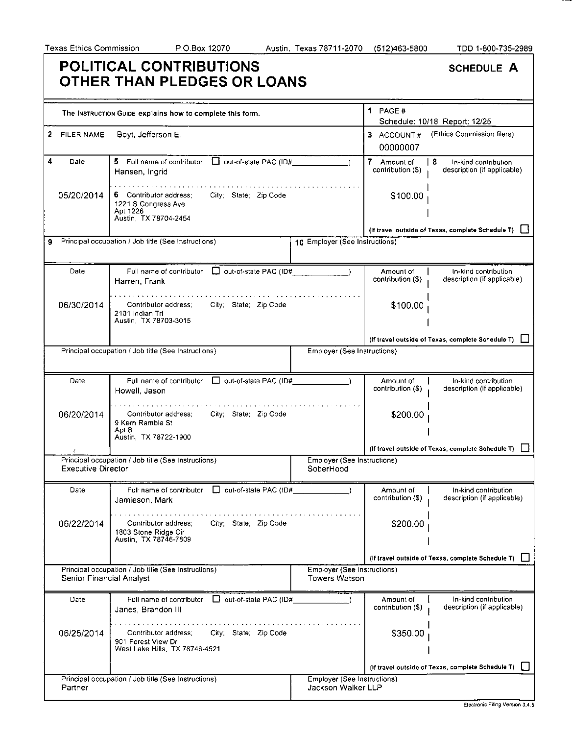Partner

Jackson Walker LLP

#### **POLITICAL CONTRIBUTIONS**  SCHEDULE A **OTHER THAN PLEDGES OR LOANS**  1 PAGE # The INSTRUCTION GUIDE explains how to complete this form. Schedule: 10/18 Report: 12/25 2 FILER NAME Boyt, Jefferson E. 3 ACCOUNT # (Ethics Commission filers) 00000007  $\overline{\mathbf{4}}$ Date 5 Full name of contributor  $\Box$  out-of-state PAC (ID# 7 Amount of **8** In-kind contribution contribution (\$) description (if applicable) Hansen, Ingrid . . . . . . . . **. . . . . . . . .** . . . 05/20/2014 \$100.00 6 Contributor address; City; State; Zip Code 1221 S Congress Ave Apt 1226 Austin, TX 78704-2454 (If travel outside of Texas, complete Schedule T) Q 9 Principal occupation / Job title (See Instructions) 10 Employer (See Instructions) Date Full name of contributor  $\Box$  out-of-state PAC (ID# Amount of In-kind contribution contribution (\$) description (if applicable) Harren, Frank . . . *. . .* . . *. .* . . . *. .* . . *.* 06/30/2014 \$100.00 Contributor address; City; State; Zip Code 2101 Indian TrI Austin, TX 78703-3015 (If travel outside of Texas, complete Schedule T)  $\Box$ Principal occupation / Job title (See Instructions) Fig. 2. [2015] Employer (See Instructions) Full name of contributor  $\Box$  out-of-state PAC (ID# Date Amount of In-kind contribution contribution (\$) description (if applicable) Howell, Jason . . . . . . . . . . . . . . . . 06/20/2014 \$200.00 Contributor address; City; State; Zip Code 9 Kern Ramble St Apt B Austin, TX 78722-1900 (If travel outside of Texas, complete Schedule T)  $\Box$ Principal occupation / Job title (See Instructions) Employer (See Instructions) Executive Director SoberHood Date Full name of contributor  $\Box$  out-of-state PAC (ID# In-kind contribution Amount of contribution (\$) description (if applicable) Jamieson, Mark . . . . . . . . . . . . . . . 06/22/2014 Contributor address; City; State; Zip Code \$200.00 1803 Stone Ridge Cir Austin, TX 78746-7809 (If travel outside of Texas, complete Schedule T) Principal occupation / Job title (See Instructions) Employer (See Instructions) Senior Financial Analyst Towers Watson Full name of contributor  $\Box$  out-of-state PAC (ID# In-kind contribution Date Amount of contribution (\$) description (if applicable) Janes, Brandon III . . . . . . *. . . . . . . . . . .* . . distance of the state 06/25/2014 Contributor address; City; State; Zip Code \$350.00 901 Forest View Dr West Lake Hills, TX 78746-4521 (If travel outside of Texas, complete Schedule T) Q Employer (See Instructions) Principal occupation / Job title (See Instructions)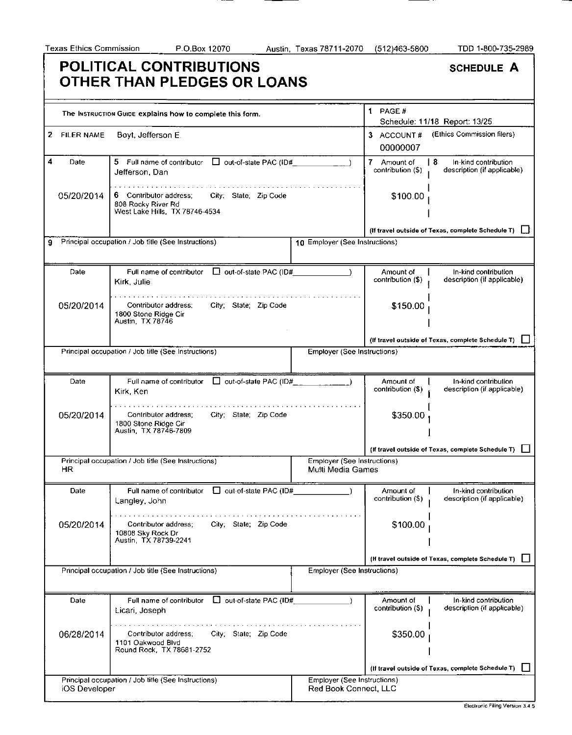$\overline{\phantom{a}}$ 

|                                   | POLITICAL CONTRIBUTIONS<br>OTHER THAN PLEDGES OR LOANS                                                  |                                                         |                                  | <b>SCHEDULE A</b>                                          |
|-----------------------------------|---------------------------------------------------------------------------------------------------------|---------------------------------------------------------|----------------------------------|------------------------------------------------------------|
|                                   | The Instruction Guide explains how to complete this form.                                               |                                                         | 1 PAGE#                          | Schedule: 11/18 Report: 13/25                              |
| <b>FILER NAME</b><br>$\mathbf{2}$ | Boyt, Jefferson E.                                                                                      |                                                         | 3 ACCOUNT#<br>00000007           | (Ethics Commission filers)                                 |
| 4<br>Date                         | □ out-of-state PAC (ID#<br>5 Full name of contributor<br>Jefferson, Dan                                 |                                                         | 7 Amount of<br>contribution (\$) | l 8<br>In-kind contribution<br>description (if applicable) |
| 05/20/2014                        | 6 Contributor address:<br>City, State, Zip Code<br>808 Rocky River Rd<br>West Lake Hills, TX 78746-4534 |                                                         | \$100.00                         |                                                            |
|                                   |                                                                                                         |                                                         |                                  | (If travel outside of Texas, complete Schedule T)          |
| 9                                 | Principal occupation / Job title (See Instructions)                                                     | 10 Employer (See Instructions)                          |                                  |                                                            |
| Date                              | □ out-of-state PAC (ID#<br>Full name of contributor<br>Kirk, Julie                                      |                                                         | Amount of<br>contribution (\$)   | In-kind contribution<br>description (if applicable)        |
| 05/20/2014                        | Contributor address:<br>City; State; Zip Code<br>1800 Stone Ridge Cir<br>Austin, TX 78746               |                                                         | \$150.00                         |                                                            |
|                                   |                                                                                                         |                                                         |                                  | (If travel outside of Texas, complete Schedule T)          |
|                                   | Principal occupation / Job title (See Instructions)                                                     | Employer (See Instructions)                             |                                  |                                                            |
| Date                              | Full name of contributor $\Box$ out-of-state PAC (ID#_<br>Kirk, Ken                                     |                                                         | Amount of<br>contribution (\$)   | In-kind contribution<br>description (if applicable)        |
| 05/20/2014                        | Contributor address;<br>City; State; Zip Code<br>1800 Stone Ridge Cir<br>Austin, TX 78746-7809          |                                                         | \$350.00                         |                                                            |
|                                   |                                                                                                         |                                                         |                                  | (If travel outside of Texas, complete Schedule T)          |
| HR                                | Principal occupation / Job title (See Instructions)                                                     | <b>Employer (See Instructions)</b><br>Multi Media Games |                                  |                                                            |
| Date                              | $\Box$ out-of-state PAC (ID#<br>Full name of contributor<br>Langley, John                               |                                                         | Amount of<br>contribution (\$)   | In-kind contribution<br>description (if applicable)        |
| 05/20/2014                        | City; State; Zip Code<br>Contributor address:<br>10808 Sky Rock Dr<br>Austin, TX 78739-2241             |                                                         | \$100.00                         |                                                            |
|                                   |                                                                                                         |                                                         |                                  | (If travel outside of Texas, complete Schedule T)          |
|                                   | Principal occupation / Job title (See Instructions)                                                     | Employer (See Instructions)                             |                                  |                                                            |
| Date                              | □ out-of-state PAC (ID#<br>Full name of contributor<br>Licari, Joseph                                   |                                                         | Amount of<br>contribution (\$)   | In-kind contribution<br>description (if applicable)        |
| 06/28/2014                        | Contributor address:<br>City; State; Zip Code<br>1101 Oakwood Blvd<br>Round Rock, TX 78681-2752         |                                                         | \$350.00                         |                                                            |
|                                   |                                                                                                         |                                                         |                                  | (If travel outside of Texas, complete Schedule T)          |
|                                   | Principal occupation / Job title (See Instructions)                                                     | Employer (See Instructions)                             |                                  |                                                            |
| iOS Developer                     |                                                                                                         | Red Book Connect, LLC                                   |                                  |                                                            |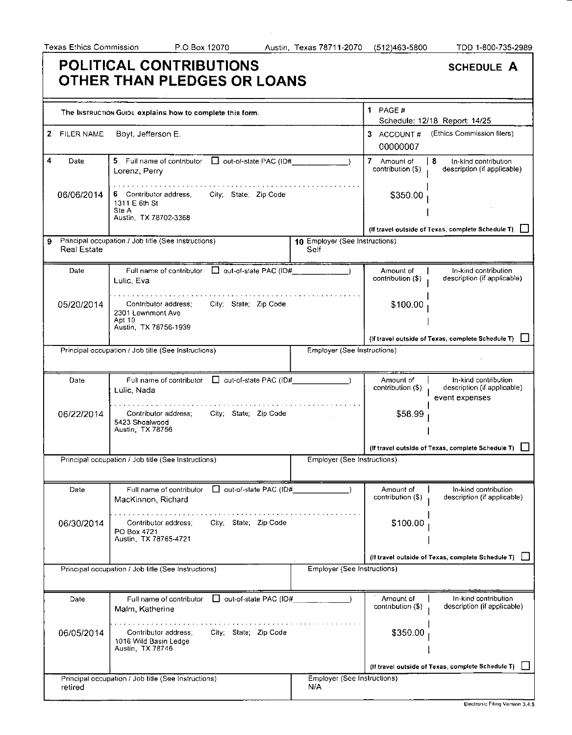|   |                    | <b>POLITICAL CONTRIBUTIONS</b><br>OTHER THAN PLEDGES OR LOANS                                         |                                        |                                  | <b>SCHEDULE A</b>                                                     |
|---|--------------------|-------------------------------------------------------------------------------------------------------|----------------------------------------|----------------------------------|-----------------------------------------------------------------------|
|   |                    | The INSTRUCTION GUIDE explains how to complete this form.                                             |                                        | 1 PAGE #                         |                                                                       |
|   |                    |                                                                                                       |                                        |                                  | Schedule: 12/18 Report: 14/25                                         |
|   | 2 FILER NAME       | Boyt, Jefferson E.                                                                                    |                                        | 3 ACCOUNT#<br>00000007           | (Ethics Commission filers)                                            |
| 4 | Date               | 5 Full name of contributor<br>out-of-state PAC (ID#<br>Lorenz, Perry                                  |                                        | 7 Amount of<br>contribution (\$) | 8<br>In-kind contribution<br>description (if applicable)              |
|   | 06/06/2014         | 6 Contributor address;<br>City; State; Zip Code<br>1311 E 6th St<br>Ste A<br>Austin, TX 78702-3368    |                                        | \$350.00                         |                                                                       |
|   |                    |                                                                                                       |                                        |                                  | (If travel outside of Texas, complete Schedule T)                     |
| 9 | <b>Real Estate</b> | Principal occupation / Job title (See Instructions)                                                   | 10 Employer (See Instructions)<br>Self |                                  |                                                                       |
|   | Date               | Full name of contributor<br>$\Box$ out-of-state PAC (ID#___________<br>Lulic, Eva                     |                                        | Amount of<br>contribution (\$)   | In-kind contribution<br>description (if applicable)                   |
|   | 05/20/2014         | Contributor address;<br>City; State; Zip Code<br>2301 Lawnmont Ave<br>Apt 10<br>Austin, TX 78756-1939 |                                        | \$100.00                         |                                                                       |
|   |                    |                                                                                                       |                                        |                                  | (If travel outside of Texas, complete Schedule T)                     |
|   |                    | Principal occupation / Job title (See Instructions)                                                   | Employer (See Instructions)            |                                  |                                                                       |
|   | Date               | out-of-state PAC (ID#<br>Full name of contributor<br>Lulic, Nada                                      |                                        | Amount of<br>contribution (\$)   | In-kind contribution<br>description (if applicable)<br>event expenses |
|   | 06/22/2014         | Contributor address:<br>City; State; Zip Code<br>5423 Shoalwood<br>Austin, TX 78756                   |                                        | \$58.99                          |                                                                       |
|   |                    |                                                                                                       |                                        |                                  | (If travel outside of Texas, complete Schedule T)                     |
|   |                    | Principal occupation / Job title (See Instructions)                                                   | Employer (See Instructions)            |                                  |                                                                       |
|   | Date               | out-of-state PAC (ID#<br>Full name of contributor<br>MacKinnon, Richard                               |                                        | Amount of<br>contribution (\$)   | In-kind contribution<br>description (if applicable)                   |
|   | 06/30/2014         | City: State: Zip Code<br>Contributor address:<br>PO Box 4721<br>Austin, TX 78765-4721                 |                                        | \$100.00                         |                                                                       |
|   |                    |                                                                                                       |                                        |                                  | (If travel outside of Texas, complete Schedule T)                     |
|   |                    | Principal occupation / Job title (See Instructions)                                                   | Employer (See Instructions)            |                                  |                                                                       |
|   |                    |                                                                                                       |                                        |                                  |                                                                       |
|   | Date               | out-of-state PAC (ID#<br>Full name of contributor<br>Malm, Katherine                                  |                                        | Amount of<br>contribution (\$)   | In-kind contribution<br>description (if applicable)                   |
|   | 06/05/2014         | City; State; Zip Code<br>Contributor address;<br>1016 Wild Basin Ledge<br>Austin, TX 78746            |                                        | \$350.00                         |                                                                       |
|   |                    |                                                                                                       |                                        |                                  |                                                                       |
|   |                    |                                                                                                       |                                        |                                  | (If travel outside of Texas, complete Schedule T)                     |
|   | retired            | Principal occupation / Job title (See Instructions)                                                   | Employer (See Instructions)<br>N/A     |                                  |                                                                       |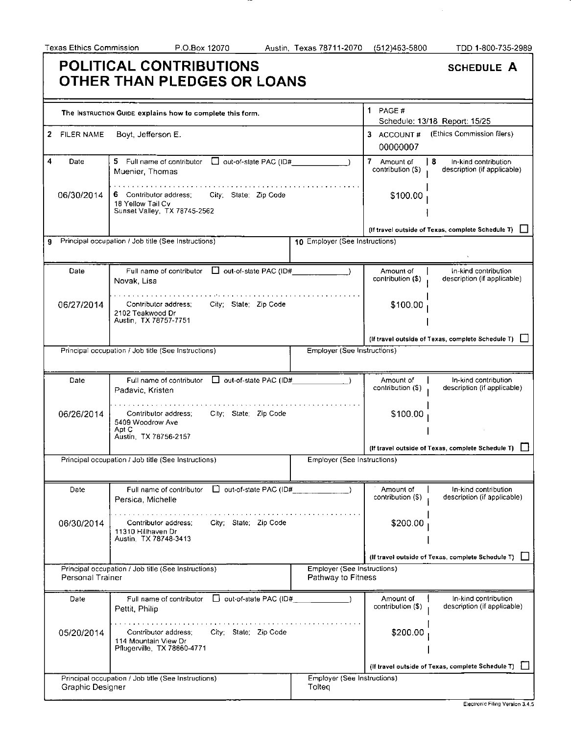--

٦

 $\hat{\mathcal{A}}$ 

|                                   |                  | <b>POLITICAL CONTRIBUTIONS</b><br>OTHER THAN PLEDGES OR LOANS                                        |                                                   |                                     | <b>SCHEDULE A</b>                                          |
|-----------------------------------|------------------|------------------------------------------------------------------------------------------------------|---------------------------------------------------|-------------------------------------|------------------------------------------------------------|
|                                   |                  | The INSTRUCTION GUIDE explains how to complete this form.                                            |                                                   | 1 PAGE $#$                          | Schedule: 13/18 Report: 15/25                              |
| <b>FILER NAME</b><br>$\mathbf{2}$ |                  | Boyt, Jefferson E.                                                                                   |                                                   | 3 ACCOUNT#<br>00000007              | (Ethics Commission filers)                                 |
| 4<br>Date                         |                  | 5 Full name of contributor   out-of-state PAC (ID#<br>Muenier, Thomas                                |                                                   | 7<br>Amount of<br>contribution (\$) | l 8<br>In-kind contribution<br>description (if applicable) |
| 06/30/2014                        |                  | City; State; Zip Code<br>6 Contributor address;<br>18 Yellow Tail Cv<br>Sunset Valley, TX 78745-2562 |                                                   | \$100.00                            |                                                            |
|                                   |                  |                                                                                                      |                                                   |                                     | (If travel outside of Texas, complete Schedule T)          |
| 9                                 |                  | Principal occupation / Job title (See Instructions)                                                  | 10 Employer (See Instructions)                    |                                     |                                                            |
| Date                              |                  | Full name of contributor $\Box$ out-of-state PAC (ID#<br>Novak, Lisa                                 |                                                   | Amount of<br>contribution (\$)      | In-kind contribution<br>description (if applicable)        |
| 06/27/2014                        |                  | City; State; Zip Code<br>Contributor address;<br>2102 Teakwood Dr<br>Austin. TX 78757-7751           |                                                   | \$100.00                            |                                                            |
|                                   |                  |                                                                                                      |                                                   |                                     | (If travel outside of Texas, complete Schedule T)          |
|                                   |                  | Principal occupation / Job title (See Instructions)                                                  | Employer (See Instructions)                       |                                     |                                                            |
| Date                              |                  | out-of-state PAC (ID#<br>Full name of contributor<br>Padavic, Kristen                                |                                                   | Amount of<br>contribution (\$)      | In-kind contribution<br>description (if applicable)        |
| 06/26/2014                        |                  | Contributor address;<br>City; State; Zip Code<br>5409 Woodrow Ave<br>Apt C<br>Austin, TX 78756-2157  |                                                   | \$100.00                            |                                                            |
|                                   |                  |                                                                                                      |                                                   |                                     | (If travel outside of Texas, complete Schedule T)          |
|                                   |                  | Principal occupation / Job title (See Instructions)                                                  | Employer (See Instructions)                       |                                     |                                                            |
| Date                              |                  | □ out-of-state PAC (ID#<br>Full name of contributor<br>Persica, Michelle                             |                                                   | Amount of<br>contribution (\$)      | In-kind contribution<br>description (if applicable)        |
| 06/30/2014                        |                  | City; State; Zip Code<br>Contributor address:<br>11310 Hillhaven Dr<br>Austin. TX 78748-3413         |                                                   | \$200.00                            |                                                            |
|                                   |                  |                                                                                                      |                                                   |                                     | (If travel outside of Texas, complete Schedule T)          |
|                                   | Personal Trainer | Principal occupation / Job title (See Instructions)                                                  | Employer (See Instructions)<br>Pathway to Fitness |                                     |                                                            |
| Date                              |                  | Full name of contributor   out-of-state PAC (ID#<br>Pettit, Philip                                   |                                                   | Amount of<br>contribution (\$)      | In-kind contribution<br>description (if applicable)        |
| 05/20/2014                        |                  | City; State; Zip Code<br>Contributor address:<br>114 Mountain View Dr<br>Pflugerville, TX 78660-4771 |                                                   | \$200.00                            |                                                            |
|                                   |                  |                                                                                                      |                                                   |                                     | (If travel outside of Texas, complete Schedule T)          |
|                                   | Graphic Designer | Principal occupation / Job title (See Instructions)                                                  | Employer (See Instructions)<br>Tolteg             |                                     |                                                            |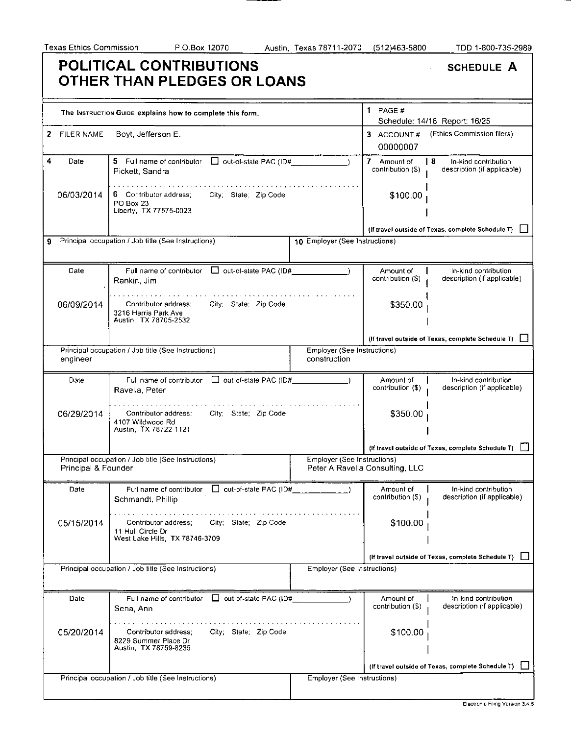$\sim$ 

|                         | <b>POLITICAL CONTRIBUTIONS</b><br>OTHER THAN PLEDGES OR LOANS                                        |                                             |                                  | <b>SCHEDULE A</b>                                          |
|-------------------------|------------------------------------------------------------------------------------------------------|---------------------------------------------|----------------------------------|------------------------------------------------------------|
|                         | The INSTRUCTION GUIDE explains how to complete this form.                                            |                                             | $1$ PAGE #                       | Schedule: 14/18 Report: 16/25                              |
| 2.<br><b>FILER NAME</b> | Boyt, Jefferson E.                                                                                   |                                             | 3 ACCOUNT#<br>00000007           | (Ethics Commission filers)                                 |
| 4<br>Date               | 5 Full name of contributor<br>$\Box$ out-of-state PAC (ID#_<br>Pickett, Sandra                       |                                             | 7 Amount of<br>contribution (\$) | l 8<br>In-kind contribution<br>description (if applicable) |
| 06/03/2014              | 6 Contributor address;<br>City State Zip Code<br>PO Box 23<br>Liberty, TX 77575-0023                 |                                             | \$100.00                         |                                                            |
|                         |                                                                                                      |                                             |                                  | (If travel outside of Texas, complete Schedule T)          |
| 9                       | Principal occupation / Job title (See Instructions)                                                  | 10 Employer (See Instructions)              |                                  |                                                            |
| Date                    | Out-of-state PAC (ID#<br>Full name of contributor<br>Rankin, Jim                                     |                                             | Amount of<br>contribution (\$)   | In-kind contribution<br>description (if applicable)        |
| 06/09/2014              | Contributor address;<br>City; State; Zip Code<br>3216 Harris Park Ave<br>Austin, TX 78705-2532       |                                             | \$350.00                         |                                                            |
|                         |                                                                                                      |                                             |                                  | (If travel outside of Texas, complete Schedule T)          |
| engineer                | Principal occupation / Job title (See Instructions)                                                  | Employer (See Instructions)<br>construction |                                  |                                                            |
| Date                    | Full name of contributor $\Box$ out-of-state PAC (ID#<br>Ravella, Peter                              |                                             | Amount of<br>contribution (\$)   | In-kind contribution<br>description (if applicable)        |
| 06/29/2014              | Contributor address;<br>City; State; Zip Code<br>4107 Wildwood Rd<br>Austin, TX 78722-1121           |                                             | \$350.00                         |                                                            |
|                         |                                                                                                      |                                             |                                  | (If travel outside of Texas, complete Schedule T)          |
| Principal & Founder     | Principal occupation / Job title (See Instructions)                                                  | Employer (See Instructions)                 | Peter A Ravella Consulting, LLC  |                                                            |
| Date                    | Fuil name of contributor □ out-of-state PAC (ID#<br>Schmandt, Phillip                                |                                             | Amount of<br>contribution (\$)   | In-kind contribution<br>description (if applicable)        |
| 05/15/2014              | City; State; Zip Code<br>Contributor address;<br>11 Hull Circle Dr<br>West Lake Hills, TX 78746-3709 |                                             | \$100.00                         |                                                            |
|                         |                                                                                                      |                                             |                                  | (If travel outside of Texas, complete Schedule T)          |
|                         | Principal occupation / Job title (See Instructions)                                                  | Employer (See Instructions)                 |                                  |                                                            |
| Date                    | Full name of contributor $\Box$ out-of-state PAC (ID#<br>Sena, Ann                                   |                                             | Amount of<br>contribution (\$)   | In-kind contribution<br>description (if applicable)        |
| 05/20/2014              | City; State; Zip Code<br>Contributor address:<br>8229 Summer Place Dr<br>Austin, TX 78759-8235       |                                             | \$100.00                         |                                                            |
|                         |                                                                                                      |                                             |                                  | (If travel outside of Texas, complete Schedule T)          |
|                         | Principal occupation / Job title (See Instructions)                                                  | Employer (See Instructions)                 |                                  |                                                            |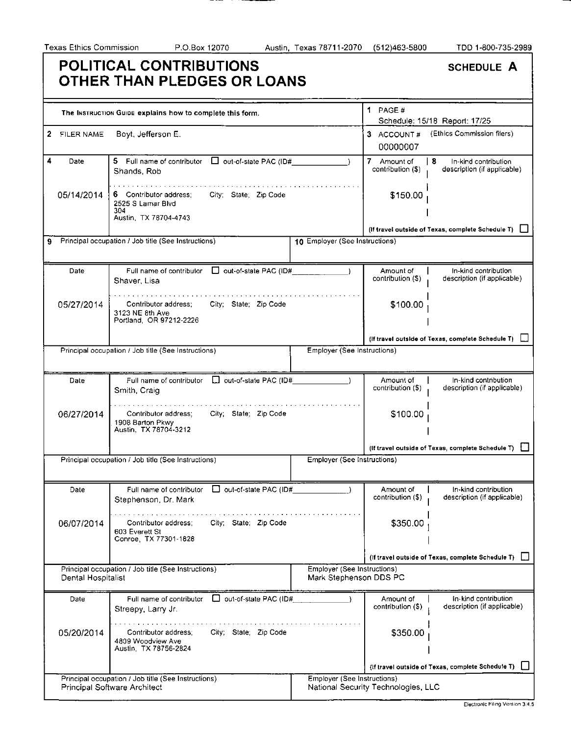———

. . .

|                                     | POLITICAL CONTRIBUTIONS<br>OTHER THAN PLEDGES OR LOANS                                               |                                                       |                                     | <b>SCHEDULE A</b>                                         |
|-------------------------------------|------------------------------------------------------------------------------------------------------|-------------------------------------------------------|-------------------------------------|-----------------------------------------------------------|
|                                     | The INSTRUCTION GUIDE explains how to complete this form.                                            |                                                       | 1 PAGE $#$                          | Schedule: 15/18 Report: 17/25                             |
| $\mathbf{2}^-$<br><b>FILER NAME</b> | Boyt, Jefferson E.                                                                                   |                                                       | 3 ACCOUNT#<br>00000007              | (Ethics Commission filers)                                |
| 4<br>Date                           | 5 Full name of contributor<br>$\Box$ out-of-state PAC (ID#<br>Shands, Rob                            |                                                       | 7 Amount of<br>contribution (\$)    | -8<br>In-kind contribution<br>description (if applicable) |
| 05/14/2014                          | 6 Contributor address;<br>City; State; Zip Code<br>2525 S Lamar Blvd<br>304<br>Austin, TX 78704-4743 |                                                       | \$150.00                            |                                                           |
|                                     |                                                                                                      |                                                       |                                     | (If travel outside of Texas, complete Schedule T)         |
| 9                                   | Principal occupation / Job title (See Instructions)                                                  | 10 Employer (See Instructions)                        |                                     |                                                           |
| Date                                | $\Box$ out-of-state PAC (ID#<br>Full name of contributor<br>Shaver, Lisa                             |                                                       | Amount of<br>contribution (\$)      | In-kind contribution<br>description (if applicable)       |
| 05/27/2014                          | City; State; Zip Code<br>Contributor address;<br>3123 NE 8th Ave<br>Portland, OR 97212-2226          |                                                       | \$100.00                            |                                                           |
|                                     |                                                                                                      |                                                       |                                     | (If travel outside of Texas, complete Schedule T)         |
|                                     | Principal occupation / Job title (See Instructions)                                                  | Employer (See Instructions)                           |                                     |                                                           |
| Date                                | Full name of contributor   out-of-state PAC (ID#<br>Smith, Craig                                     |                                                       | Amount of<br>contribution (\$)      | In-kind contribution<br>description (if applicable)       |
| 06/27/2014                          | City; State; Zip Code<br>Contributor address;<br>1908 Barton Pkwy<br>Austin, TX 78704-3212           |                                                       | \$100.00                            |                                                           |
|                                     |                                                                                                      |                                                       |                                     | (If travel outside of Texas, complete Schedule T)         |
|                                     | Principal occupation / Job title (See Instructions)                                                  | Employer (See Instructions)                           |                                     |                                                           |
| Date                                | out-of-state PAC (ID#<br>Full name of contributor<br>Stephenson, Dr. Mark                            |                                                       | Amount of<br>contribution (\$)      | In-kind contribution<br>description (if applicable)       |
| 06/07/2014                          | City; State; Zip Code<br>Contributor address:<br>603 Everett St<br>Conroe, TX 77301-1828             |                                                       | \$350.00                            |                                                           |
|                                     |                                                                                                      |                                                       |                                     | (If travel outside of Texas, complete Schedule T)         |
| Dental Hospitalist                  | Principal occupation / Job title (See Instructions)                                                  | Employer (See Instructions)<br>Mark Stephenson DDS PC |                                     |                                                           |
| Date                                | out-of-state PAC (ID#<br>Full name of contributor<br>Streepy, Larry Jr.                              |                                                       | Amount of<br>contribution (\$)      | In-kind contribution<br>description (if applicable)       |
| 05/20/2014                          | Contributor address:<br>City; State; Zip Code<br>4809 Woodview Ave<br>Austin, TX 78756-2824          |                                                       | \$350.00                            |                                                           |
|                                     |                                                                                                      |                                                       |                                     | (If travel outside of Texas, complete Schedule T)         |
|                                     | Principal occupation / Job title (See Instructions)<br>Principal Software Architect                  | Employer (See Instructions)                           | National Security Technologies, LLC |                                                           |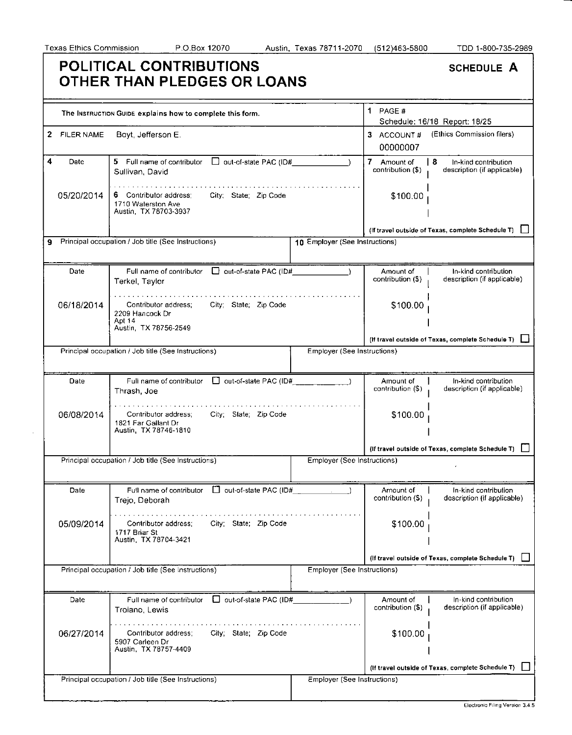|              | POLITICAL CONTRIBUTIONS<br>OTHER THAN PLEDGES OR LOANS                                         |                                |                                         | <b>SCHEDULE A</b>                                          |
|--------------|------------------------------------------------------------------------------------------------|--------------------------------|-----------------------------------------|------------------------------------------------------------|
|              | The Instruction Guide explains how to complete this form.                                      |                                | 1 PAGE #                                | Schedule: 16/18 Report: 18/25                              |
| 2 FILER NAME | Boyt, Jefferson E.                                                                             |                                | 3 ACCOUNT#<br>00000007                  | (Ethics Commission filers)                                 |
| 4<br>Date    | 5 Full name of contributor<br>$\Box$ out-of-state PAC (ID#<br>Sullivan, David                  |                                | $7 -$<br>Amount of<br>contribution (\$) | l 8<br>In-kind contribution<br>description (if applicable) |
| 05/20/2014   | 6 Contributor address:<br>City; State; Zip Code<br>1710 Waterston Ave<br>Austin, TX 78703-3937 |                                | \$100.00                                |                                                            |
|              |                                                                                                |                                |                                         | (If travel outside of Texas, complete Schedule T)          |
| 9            | Principal occupation / Job title (See Instructions)                                            | 10 Employer (See Instructions) |                                         |                                                            |
| Date         | out-of-state PAC (ID#<br>Full name of contributor<br>Terkel, Taylor                            |                                | Amount of<br>contribution (\$)          | In-kind contribution<br>description (if applicable)        |
| 06/18/2014   | Contributor address;<br>City; State; Zip Code<br>2209 Hancock Dr<br>Apt 14                     |                                | \$100.00                                |                                                            |
|              | Austin, TX 78756-2549                                                                          |                                |                                         | (If travel outside of Texas, complete Schedule T)          |
|              | Principal occupation / Job title (See Instructions)                                            | Employer (See Instructions)    |                                         |                                                            |
| Date         | Full name of contributor   out-of-state PAC (ID#<br>Thrash, Joe                                |                                | Amount of<br>contribution (\$)          | In-kind contribution<br>description (if applicable)        |
| 06/08/2014   | City; State; Zip Code<br>Contributor address:<br>1821 Far Gallant Dr<br>Austin, TX 78746-1810  |                                | \$100.00                                |                                                            |
|              |                                                                                                |                                |                                         | (If travel outside of Texas, complete Schedule T)          |
|              | Principal occupation / Job title (See Instructions)                                            | Employer (See Instructions)    |                                         |                                                            |
| Date         | out-of-state PAC (ID#<br>Full name of contributor<br>Trejo, Deborah                            |                                | Amount of<br>contribution (\$)          | In-kind contribution<br>description (if applicable)        |
| 05/09/2014   | City; State; Zip Code<br>Contributor address;<br>1717 Briar St<br>Austin, TX 78704-3421        |                                | \$100.00                                |                                                            |
|              |                                                                                                |                                |                                         | (If travel outside of Texas, complete Schedule T)          |
|              | Principal occupation / Job title (See Instructions)                                            | Employer (See Instructions)    |                                         |                                                            |
| Date         | Full name of contributor<br>out-of-state PAC (ID#<br>Troiano, Lewis                            |                                | Amount of<br>contribution (\$)          | In-kind contribution<br>description (if applicable)        |
| 06/27/2014   | City; State; Zip Code<br>Contributor address;<br>5907 Carleen Dr<br>Austin, TX 78757-4409      |                                | \$100.00                                |                                                            |
|              |                                                                                                |                                |                                         | (If travel outside of Texas, complete Schedule T)          |
|              | Principal occupation / Job title (See Instructions)                                            | Employer (See Instructions)    |                                         |                                                            |
|              |                                                                                                |                                |                                         |                                                            |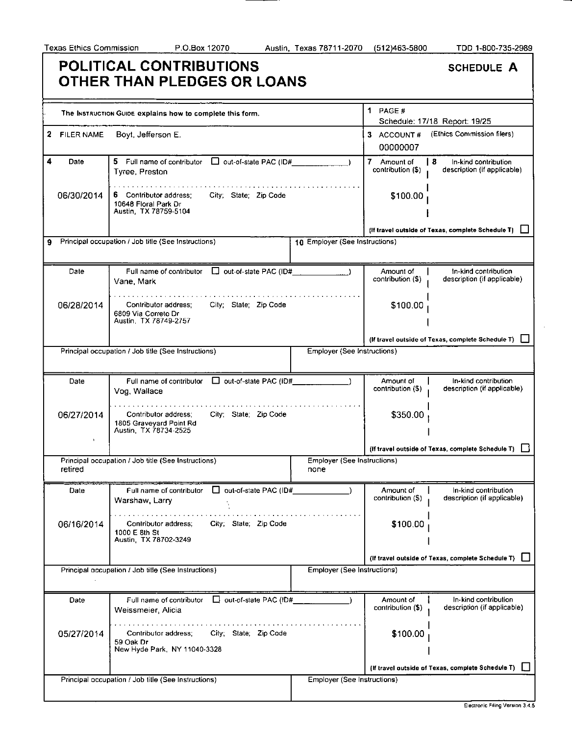#### Texas Ethics Commission P.O.Box 12070 Austin, Texas 78711-2070 (512)463-5800 TDD 1-800-735-2989 **POLITICAL CONTRIBUTIONS OTHER THAN PLEDGES OR LOANS**  1 PAGE # The INSTRUCTION GUIDE explains how to complete this form. Schedule: 17/18 Report: 19/25 2 FILER NAME Boyt, Jefferson E. 3 ACCOUNT # (Ethics Commission filers) 00000007 4 Date 5 Full name of contributor  $\Box$  out-of-state PAC (ID# 7 Amount of **8** In-kind contribution contribution (\$) description (if applicable) Tyree, Preston 6 Contributor address; 06/30/2014 City; State; Zip Code \$100.00 10648 Floral Park Dr Austin, TX 78759-5104 (If travel outside of Texas, complete Schedule T)  $\Box$ 9 Principal occupation / Job title (See Instructions) 10 Employer (See Instructions) Full name of contributor  $\Box$  out-of-state PAC (ID# Date Amount of In-kind contribution contribution (\$) description (if applicable) Vane, Mark 06/28/2014 \$100.00 Contributor address; City; State; Zip Code 6809 Via Correto Dr Austin, TX 78749-2757 (If travel outside of Texas, complete Schedule T)  $\Box$ Principal occupation / Job title (See Instructions) **Employer (See Instructions)** Employer (See Instructions) Full name of contributor  $\Box$  out-of-state PAC (ID# Amount of In-kind contribution Date contribution (\$) description (if applicable) Vog , Wallace . . . . . . . . . . . . . . 06/27/2014 Contributor address; City; State; Zip Code \$350.00 1805 Graveyard Point Rd Austin, TX 78734-2525 (If travel outside of Texas, complete Schedule T)  $\square$ Principal occupation / Job title (See Instructions) Employer (See Instructions) retired none Date Full name of contributor  $\Box$  out-of-state PAC (ID# Amount of In-kind contribution contribution (\$) description (if applicable) Warshaw, Larry . . *. . .* . . . . *.* . *.* . . 06/16/2014 Contributor address; City; State; Zip Code \$100.00 1000 E 8th St Austin, TX 78702-3249 Principal occupation / Job title (See Instructions) **Employer** (See Instructions)

|            |                                                                                            |                             |                                | (If travel outside of Texas, complete Schedule T)   |
|------------|--------------------------------------------------------------------------------------------|-----------------------------|--------------------------------|-----------------------------------------------------|
|            | Principal occupation / Job title (See Instructions)                                        | Employer (See Instructions) |                                |                                                     |
| Date       | $\Box$ out-of-state PAC (ID#<br>Full name of contributor<br>Weissmeier, Alicia             |                             | Amount of<br>contribution (\$) | In-kind contribution<br>description (if applicable) |
| 05/27/2014 | Contributor address:<br>City; State; Zip Code<br>59 Oak Dr<br>New Hyde Park, NY 11040-3328 |                             | \$100.00                       |                                                     |
|            |                                                                                            |                             |                                | (If travel outside of Texas, complete Schedule T) [ |
|            | Principal occupation / Job title (See Instructions)                                        | Employer (See Instructions) |                                |                                                     |

SCHEDULE A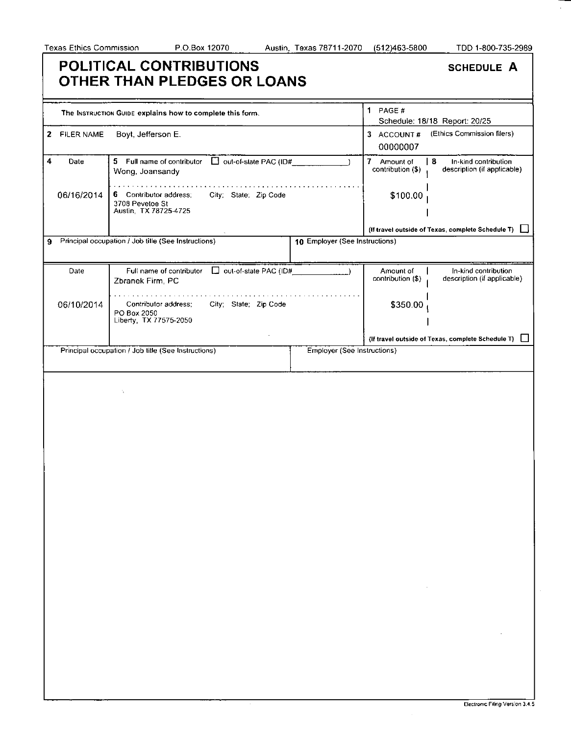## **POLITICAL CONTRIBUTIONS OTHER THAN PLEDGES OR LOANS**

| <b>SCHEDULE A</b> |  |
|-------------------|--|
|-------------------|--|

|              |                   | The INSTRUCTION GUIDE explains how to complete this form.                                   | 1 PAGE $#$<br>Schedule: 18/18 Report: 20/25                                                                    |  |  |
|--------------|-------------------|---------------------------------------------------------------------------------------------|----------------------------------------------------------------------------------------------------------------|--|--|
| $\mathbf{z}$ | <b>FILER NAME</b> | Boyt, Jefferson E.                                                                          | (Ethics Commission filers)<br>3 ACCOUNT#<br>00000007                                                           |  |  |
| 4            | Date              | Out-of-state PAC (ID#_<br>5 Full name of contributor<br>Wong, Joansandy                     | $\overline{I}$<br>l 8<br>Amount of<br>In-kind contribution<br>contribution (\$)<br>description (if applicable) |  |  |
|              | 06/16/2014        | 6 Contributor address;<br>City; State; Zip Code<br>3708 Pevetoe St<br>Austin, TX 78725-4725 | \$100.00                                                                                                       |  |  |
|              |                   |                                                                                             | (If travel outside of Texas, complete Schedule T)                                                              |  |  |
| 9            |                   | Principal occupation / Job title (See Instructions)<br>10 Employer (See Instructions)       |                                                                                                                |  |  |
|              |                   |                                                                                             |                                                                                                                |  |  |
|              | Date              | Full name of contributor   out-of-state PAC (ID#<br>Zbranek Firm, PC                        | In-kind contribution<br>Amount of<br>contribution (\$)<br>description (if applicable)                          |  |  |
|              | 06/10/2014        | Contributor address;<br>City; State; Zip Code<br>PO Box 2050                                | \$350.00                                                                                                       |  |  |
|              |                   | Liberty, TX 77575-2050                                                                      | (If travel outside of Texas, complete Schedule T)                                                              |  |  |
|              |                   | Principal occupation / Job title (See Instructions)<br>Employer (See Instructions)          |                                                                                                                |  |  |
|              |                   |                                                                                             |                                                                                                                |  |  |
|              |                   | ٠.                                                                                          | and the con-                                                                                                   |  |  |
|              |                   |                                                                                             |                                                                                                                |  |  |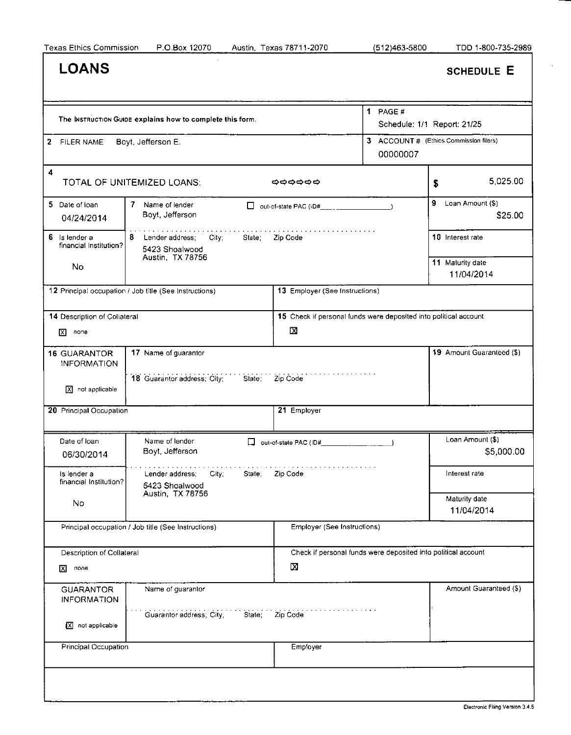$\sim$ 

| <b>LOANS</b>                                             |                                                              |                                                                       |                                                    |                  | <b>SCHEDULE E</b>              |
|----------------------------------------------------------|--------------------------------------------------------------|-----------------------------------------------------------------------|----------------------------------------------------|------------------|--------------------------------|
|                                                          | The INSTRUCTION GUIDE explains how to complete this form.    |                                                                       | 1 PAGE $#$<br>Schedule: 1/1 Report: 21/25          |                  |                                |
| 2 FILER NAME                                             | Boyt, Jefferson E.                                           |                                                                       | 3 ACCOUNT # (Ethics Commission filers)<br>00000007 |                  |                                |
| $\blacktriangleleft$                                     | TOTAL OF UNITEMIZED LOANS:                                   | つつつつつつ                                                                |                                                    | \$               | 5,025.00                       |
| 5 Date of Ioan<br>04/24/2014                             | 7 Name of lender<br>□<br>Boyt, Jefferson                     | out-of-state PAC (ID#____ ________                                    |                                                    | 9                | Loan Amount (\$)<br>\$25.00    |
| 6<br>Is lender a<br>financial Institution?               | Lender address:<br>8<br>City:<br>State:<br>5423 Shoalwood    | Zip Code                                                              |                                                    | 10 Interest rate |                                |
| No                                                       | Austin, TX 78756                                             |                                                                       |                                                    | 11 Maturity date | 11/04/2014                     |
|                                                          | 12 Principal occupation / Job title (See Instructions)       | 13 Employer (See Instructions)                                        |                                                    |                  |                                |
| 14 Description of Collateral<br>none<br>⊠                |                                                              | 15 Check if personal funds were deposited into political account<br>x |                                                    |                  |                                |
| 16 GUARANTOR<br><b>INFORMATION</b><br>$X$ not applicable | 17 Name of guarantor<br>18 Guarantor address; City; State;   | Zip Code                                                              |                                                    |                  | 19 Amount Guaranteed (\$)      |
| 20 Principal Occupation                                  |                                                              | 21 Employer                                                           |                                                    |                  |                                |
| Date of loan<br>06/30/2014                               | Name of lender<br>ப<br>Boyt, Jefferson                       | out-of-state PAC (ID#                                                 |                                                    |                  | Loan Amount (\$)<br>\$5,000.00 |
| is lender a<br>financial Institution?                    | City;<br>State; Zip Code<br>Lender address<br>5423 Shoalwood | .                                                                     |                                                    | Interest rate    |                                |
| No                                                       | Austin, TX 78756                                             |                                                                       |                                                    | Maturity date    | 11/04/2014                     |
|                                                          | Principal occupation / Job title (See Instructions)          | Employer (See Instructions)                                           |                                                    |                  |                                |
| Description of Collateral<br>none<br>⊠                   |                                                              | Check if personal funds were deposited into political account<br>Σ    |                                                    |                  |                                |
| <b>GUARANTOR</b><br><b>INFORMATION</b>                   | Name of guarantor                                            |                                                                       |                                                    |                  | Amount Guaranteed (\$)         |
| not applicable<br>⊠                                      | Guarantor address; City;<br>State;                           | Zip Code                                                              |                                                    |                  |                                |
| Principal Occupation                                     |                                                              | <b>Employer</b>                                                       |                                                    |                  |                                |
|                                                          |                                                              |                                                                       |                                                    |                  |                                |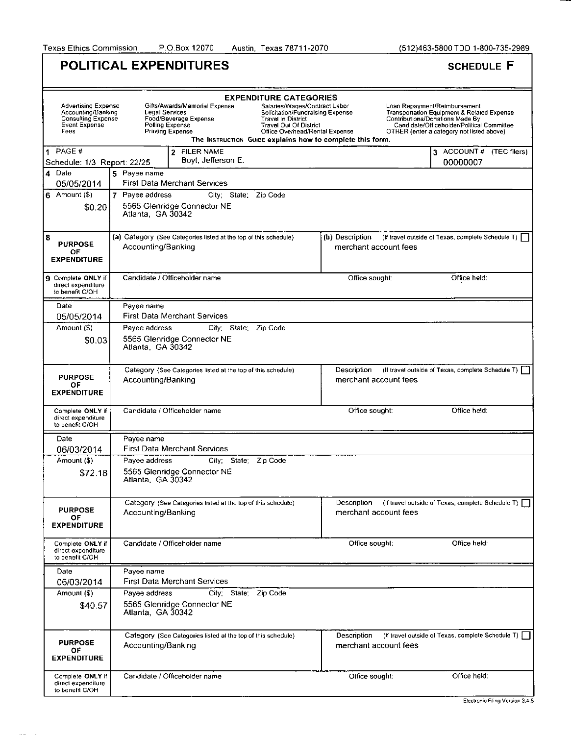Texas Ethics Commission P.O.Box 12070 Austin, Texas 78711-2070 (512)463-5800 TDD 1-800-735-2989

|                                                                                          | <b>POLITICAL EXPENDITURES</b>                                                                                                                                                                                                                                                                                                                                                                    | <b>SCHEDULE F</b>                                                                                                                                                                                                   |  |
|------------------------------------------------------------------------------------------|--------------------------------------------------------------------------------------------------------------------------------------------------------------------------------------------------------------------------------------------------------------------------------------------------------------------------------------------------------------------------------------------------|---------------------------------------------------------------------------------------------------------------------------------------------------------------------------------------------------------------------|--|
| Advertising Expense<br>Accounting/Banking<br>Consulting Expense<br>Event Expense<br>Fees | <b>EXPENDITURE CATEGORIES</b><br>Gifts/Awards/Memorial Expense<br>Salaries/Wages/Contract Labor<br><b>Legal Services</b><br>Solicitation/Fundraising Expense<br>Food/Beverage Expense<br><b>Travel In District</b><br>Polling Expense<br><b>Travel Out Of District</b><br><b>Printing Expense</b><br>Office Overhead/Rental Expense<br>The Instruction Guipe explains how to complete this form. | Loan Repayment/Reimbursement<br><b>Transportation Equipment &amp; Related Expense</b><br>Contributions/Donations Made By<br>Candidate/Officeholder/Political Committee<br>OTHER (enter a category not listed above) |  |
| 1 PAGE #<br>Schedule: 1/3 Report: 22/25                                                  | 2 FILER NAME<br>Boyt, Jefferson E.                                                                                                                                                                                                                                                                                                                                                               | 3 ACCOUNT # (TEC filers)<br>00000007                                                                                                                                                                                |  |
| 4 Date                                                                                   | 5 Payee name                                                                                                                                                                                                                                                                                                                                                                                     |                                                                                                                                                                                                                     |  |
| 05/05/2014                                                                               | <b>First Data Merchant Services</b>                                                                                                                                                                                                                                                                                                                                                              |                                                                                                                                                                                                                     |  |
| 6 Amount $(\overline{\$})$<br>\$0.20                                                     | 7 Payee address<br>City. State.<br>Zip Code<br>5565 Glenridge Connector NE<br>Atlanta, GA 30342                                                                                                                                                                                                                                                                                                  |                                                                                                                                                                                                                     |  |
| 8<br><b>PURPOSE</b><br>ОF<br><b>EXPENDITURE</b>                                          | (a) Category (See Categories listed at the top of this schedule)<br>Accounting/Banking                                                                                                                                                                                                                                                                                                           | (b) Description<br>(If travel outside of Texas, complete Schedule T)<br>merchant account fees                                                                                                                       |  |
| 9 Complete ONLY if<br>direct expenditure<br>to benefit C/OH                              | Candidate / Officeholder name                                                                                                                                                                                                                                                                                                                                                                    | Office held:<br>Office sought:                                                                                                                                                                                      |  |
| Date                                                                                     | Payee name                                                                                                                                                                                                                                                                                                                                                                                       |                                                                                                                                                                                                                     |  |
| 05/05/2014                                                                               | <b>First Data Merchant Services</b>                                                                                                                                                                                                                                                                                                                                                              |                                                                                                                                                                                                                     |  |
| Amount (\$)<br>\$0.03                                                                    | Payee address<br>Zip Code<br>City: State:<br>5565 Glenridge Connector NE<br>Atlanta, GA 30342                                                                                                                                                                                                                                                                                                    |                                                                                                                                                                                                                     |  |
| <b>PURPOSE</b><br>ОF<br><b>EXPENDITURE</b>                                               | Category (See Categories listed at the top of this schedule)<br>Accounting/Banking                                                                                                                                                                                                                                                                                                               | Description<br>(If travel outside of Texas, complete Schedule T)  <br>merchant account fees                                                                                                                         |  |
| Complete ONLY if<br>direct expenditure<br>to benefit C/OH                                | Candidate / Officeholder name                                                                                                                                                                                                                                                                                                                                                                    | Office sought:<br>Office held:                                                                                                                                                                                      |  |
| Date                                                                                     | Payee name                                                                                                                                                                                                                                                                                                                                                                                       |                                                                                                                                                                                                                     |  |
| 06/03/2014                                                                               | <b>First Data Merchant Services</b>                                                                                                                                                                                                                                                                                                                                                              |                                                                                                                                                                                                                     |  |
| Amount (\$)<br>\$72.18                                                                   | Payee address<br>City: State: Zip Code<br>5565 Glenridge Connector NE<br>Atlanta, GA 30342                                                                                                                                                                                                                                                                                                       |                                                                                                                                                                                                                     |  |
| <b>PURPOSE</b><br>OF<br><b>EXPENDITURE</b>                                               | Category (See Categories listed at the top of this schedule)<br>Accounting/Banking                                                                                                                                                                                                                                                                                                               | Description<br>(If travel outside of Texas, complete Schedule T)<br>merchant account fees                                                                                                                           |  |
| Complete ONLY if<br>direct expenditure<br>to benefit C/OH                                | Candidate / Officeholder name                                                                                                                                                                                                                                                                                                                                                                    | Office sought:<br>Office held:                                                                                                                                                                                      |  |
| Date                                                                                     | Payee name                                                                                                                                                                                                                                                                                                                                                                                       |                                                                                                                                                                                                                     |  |
| 06/03/2014                                                                               | First Data Merchant Services                                                                                                                                                                                                                                                                                                                                                                     |                                                                                                                                                                                                                     |  |
| Amount (\$)<br>\$40.57                                                                   | Payee address<br>City, State,<br>Zip Code<br>5565 Glenridge Connector NE<br>Atlanta, GA 30342                                                                                                                                                                                                                                                                                                    |                                                                                                                                                                                                                     |  |
| <b>PURPOSE</b><br>OF.<br><b>EXPENDITURE</b>                                              | Category (See Categories listed at the top of this schedule)<br>Accounting/Banking                                                                                                                                                                                                                                                                                                               | (If travel outside of Texas, complete Schedule T).<br>Description<br>merchant account fees                                                                                                                          |  |
| Complete ONLY if<br>direct expenditure<br>to benefit C/OH                                | Candidate / Officeholder name                                                                                                                                                                                                                                                                                                                                                                    | Office held:<br>Office sought:                                                                                                                                                                                      |  |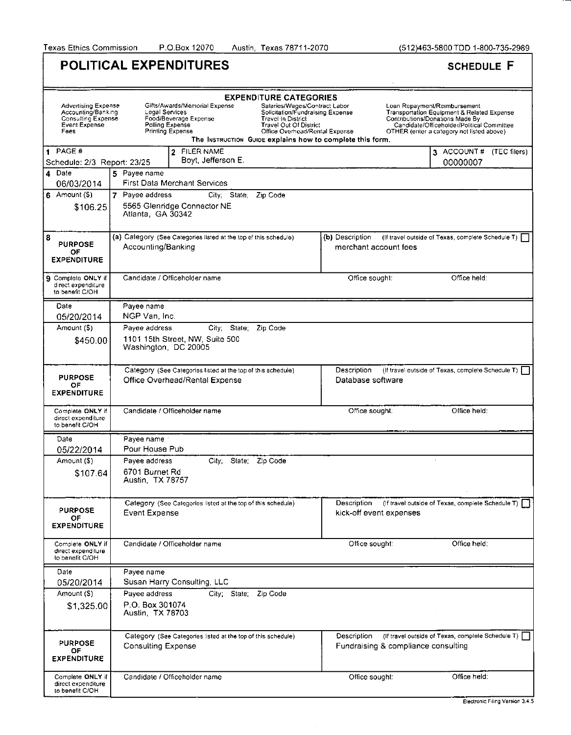Texas Ethics Commission P.O.Box 12070 Austin, Texas 78711-2070 (512)463-5800 TDD 1-800-735-2989

| <b>POLITICAL EXPENDITURES</b>                                                                   | <b>SCHEDULE F</b>                                                                                                                                                                                                                                                                                                                                                    |                                                                                            |                                                                                                                                                                                                                     |  |  |
|-------------------------------------------------------------------------------------------------|----------------------------------------------------------------------------------------------------------------------------------------------------------------------------------------------------------------------------------------------------------------------------------------------------------------------------------------------------------------------|--------------------------------------------------------------------------------------------|---------------------------------------------------------------------------------------------------------------------------------------------------------------------------------------------------------------------|--|--|
| <b>Advertising Expense</b><br>Accounting/Banking<br>Consulting Expense<br>Event Expense<br>Fees | <b>EXPENDITURE CATEGORIES</b><br>Gilts/Awards/Memorial Expense<br>Salaries/Wages/Contract Labor<br>Legal Services<br>Solicitation/Fundraising Expense<br>Food/Beverage Expense<br>Travel In District<br>Polling Expense<br>Travel Out Of District<br>Printing Expense<br>Office Overhead/Rental Expense<br>The INSTRUCTION GUIDE explains how to complete this form. |                                                                                            | Loan Repayment/Reimbursement<br><b>Transportation Equipment &amp; Related Expense</b><br>Contributions/Donations Made By<br>Candidate/Officeholder/Political Committee<br>OTHER (enter a category not listed above) |  |  |
| $1$ PAGE#<br>Schedule: 2/3 Report: 23/25                                                        | 2 FILER NAME<br>Boyt, Jefferson E.                                                                                                                                                                                                                                                                                                                                   |                                                                                            | 3 ACCOUNT # (TEC filers)<br>00000007                                                                                                                                                                                |  |  |
| 4 Date<br>06/03/2014                                                                            | 5 Payee name<br>First Data Merchant Services                                                                                                                                                                                                                                                                                                                         |                                                                                            |                                                                                                                                                                                                                     |  |  |
| $6$ Amount $(5)$<br>\$106.25                                                                    | 7 Payee address<br>City; State; Zip Code<br>5565 Glenridge Connector NE<br>Atlanta, GA 30342                                                                                                                                                                                                                                                                         |                                                                                            |                                                                                                                                                                                                                     |  |  |
| 8<br><b>PURPOSE</b><br>OF<br><b>EXPENDITURE</b>                                                 | (a) Category (See Categories listed at the top of this schedule)<br>Accounting/Banking                                                                                                                                                                                                                                                                               | (b) Description<br>merchant account fees                                                   | (If travel outside of Texas, complete Schedule T)                                                                                                                                                                   |  |  |
| 9 Complete ONLY if<br>direct expenditure<br>to benefit C/OH                                     | Candidate / Officeholder name                                                                                                                                                                                                                                                                                                                                        | Office sought:                                                                             | Office held:                                                                                                                                                                                                        |  |  |
| Date<br>05/20/2014                                                                              | Payee name<br>NGP Van, Inc.                                                                                                                                                                                                                                                                                                                                          |                                                                                            |                                                                                                                                                                                                                     |  |  |
| Amount (\$)                                                                                     | Payee address<br>City: State:<br>Zip Code                                                                                                                                                                                                                                                                                                                            |                                                                                            |                                                                                                                                                                                                                     |  |  |
| \$450.00                                                                                        | 1101 15th Street, NW, Suite 500<br>Washington, DC 20005                                                                                                                                                                                                                                                                                                              |                                                                                            |                                                                                                                                                                                                                     |  |  |
| <b>PURPOSE</b><br>OF.<br><b>EXPENDITURE</b>                                                     | Category (See Categories listed at the top of this schedule)<br>Description<br>(If travel outside of Texas, complete Schedule T) [<br>Office Overhead/Rental Expense<br>Database software                                                                                                                                                                            |                                                                                            |                                                                                                                                                                                                                     |  |  |
|                                                                                                 |                                                                                                                                                                                                                                                                                                                                                                      |                                                                                            |                                                                                                                                                                                                                     |  |  |
| Complete ONLY if<br>direct expenditure<br>to benefit C/OH                                       | Candidate / Officeholder name                                                                                                                                                                                                                                                                                                                                        | Office sought.                                                                             | Office held:                                                                                                                                                                                                        |  |  |
| Date                                                                                            | Pavee name                                                                                                                                                                                                                                                                                                                                                           |                                                                                            |                                                                                                                                                                                                                     |  |  |
| 05/22/2014                                                                                      | Pour House Pub                                                                                                                                                                                                                                                                                                                                                       |                                                                                            |                                                                                                                                                                                                                     |  |  |
| Amount (\$)<br>\$107.64                                                                         | Payee address<br>State:<br>Zip Code<br>City:<br>6701 Burnet Rd<br>Austin, TX 78757                                                                                                                                                                                                                                                                                   |                                                                                            |                                                                                                                                                                                                                     |  |  |
| <b>PURPOSE</b><br>ОF<br><b>EXPENDITURE</b>                                                      | Category (See Categories listed at the top of this schedule)<br>Event Expense                                                                                                                                                                                                                                                                                        | Description<br>kick-off event expenses                                                     | (If travel outside of Texas, complete Schedule T)                                                                                                                                                                   |  |  |
| Complete ONLY if<br>direct expenditure<br>to benefit C/OH                                       | Candidate / Officeholder name                                                                                                                                                                                                                                                                                                                                        | Office sought:                                                                             | Office held:                                                                                                                                                                                                        |  |  |
| Date                                                                                            | Payee name                                                                                                                                                                                                                                                                                                                                                           |                                                                                            |                                                                                                                                                                                                                     |  |  |
| 05/20/2014                                                                                      | Susan Harry Consulting, LLC                                                                                                                                                                                                                                                                                                                                          |                                                                                            |                                                                                                                                                                                                                     |  |  |
| Amount (S)<br>\$1,325.00                                                                        | Zip Code<br>Payee address<br>City: State:<br>P.O. Box 301074<br>Austin, TX 78703                                                                                                                                                                                                                                                                                     |                                                                                            |                                                                                                                                                                                                                     |  |  |
| <b>PURPOSE</b><br>ΟF<br><b>EXPENDITURE</b>                                                      | Category (See Categories listed at the top of this schedule)<br>Consulting Expense                                                                                                                                                                                                                                                                                   | (If travel outside of Texas, complete Schedule T) [<br>Fundraising & compliance consulting |                                                                                                                                                                                                                     |  |  |
| Complete ONLY if<br>direct expenditure<br>to benefit C/OH                                       | Candidate / Officeholder name                                                                                                                                                                                                                                                                                                                                        | Office sought:                                                                             | Office held:                                                                                                                                                                                                        |  |  |

 $\bar{\gamma}$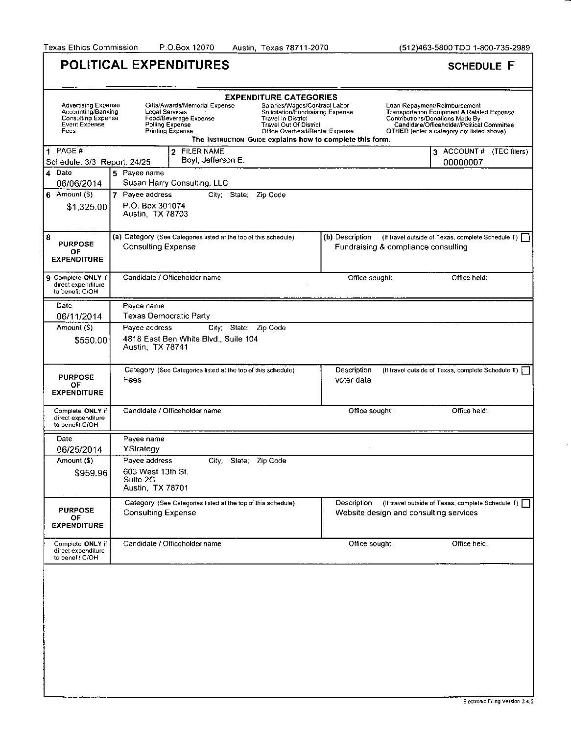Texas Ethics Commission P.O.Box 12070 Austin, Texas 78711-2070 (512)463-5800 TDD 1-800-735-2989

| <b>POLITICAL EXPENDITURES</b>                                                            | <b>SCHEDULE F</b>                                                                                                                                                                                                                                                                                                                                 |                                                                                                                                                                                                                     |                                                   |  |  |  |  |  |
|------------------------------------------------------------------------------------------|---------------------------------------------------------------------------------------------------------------------------------------------------------------------------------------------------------------------------------------------------------------------------------------------------------------------------------------------------|---------------------------------------------------------------------------------------------------------------------------------------------------------------------------------------------------------------------|---------------------------------------------------|--|--|--|--|--|
| <b>EXPENDITURE CATEGORIES</b>                                                            |                                                                                                                                                                                                                                                                                                                                                   |                                                                                                                                                                                                                     |                                                   |  |  |  |  |  |
| Advertising Expense<br>Accounting/Banking<br>Consulting Expense<br>Event Expense<br>Fees | Gifts/Awards/Memorial Expense<br>Salaries/Wages/Contract Labor<br>Solicitation/Fundraising Expense<br>Legal Services<br>Food/Beverage Expense<br>Travel In District<br>Polling Expense<br><b>Travel Out Of District</b><br><b>Printing Expense</b><br>Office Overhead/Rental Expense<br>The INSTRUCTION GUIDE explains how to complete this form. | Loan Repayment/Reimbursement<br><b>Transportation Equipment &amp; Related Expense</b><br>Contributions/Donations Made By<br>Candidate/Officeholder/Political Committee<br>OTHER (enter a category not listed above) |                                                   |  |  |  |  |  |
| 1<br>PAGE#<br>Schedule: 3/3 Report: 24/25                                                |                                                                                                                                                                                                                                                                                                                                                   | 3 ACCOUNT # (TEC filers)<br>00000007                                                                                                                                                                                |                                                   |  |  |  |  |  |
| Date<br>4<br>06/06/2014                                                                  | 5 Payee name<br>Susan Harry Consulting, LLC                                                                                                                                                                                                                                                                                                       |                                                                                                                                                                                                                     |                                                   |  |  |  |  |  |
| Amount (\$)<br>6<br>\$1,325.00                                                           | 7 Payee address<br>City; State, Zip Code<br>P.O. Box 301074<br>Austin, TX 78703                                                                                                                                                                                                                                                                   |                                                                                                                                                                                                                     |                                                   |  |  |  |  |  |
| 8<br><b>PURPOSE</b><br>ΟF<br><b>EXPENDITURE</b>                                          | (a) Category (See Categories listed at the top of this schedule)<br><b>Consulting Expense</b>                                                                                                                                                                                                                                                     | (b) Description<br>Fundraising & compliance consulting                                                                                                                                                              | (If travel outside of Texas, complete Schedule T) |  |  |  |  |  |
| <b>9</b> Complete ONLY if<br>direct expenditure<br>to benefit C/OH                       | Candidate / Officeholder name                                                                                                                                                                                                                                                                                                                     | Office sought:                                                                                                                                                                                                      | Office held:                                      |  |  |  |  |  |
| Date<br>06/11/2014                                                                       | Payee name<br><b>Texas Democratic Party</b>                                                                                                                                                                                                                                                                                                       |                                                                                                                                                                                                                     |                                                   |  |  |  |  |  |
| Amount (S)<br>\$550.00                                                                   | Payee address<br>City: State: Zip Code<br>4818 East Ben White Blvd., Suite 104<br>Austin, TX 78741                                                                                                                                                                                                                                                |                                                                                                                                                                                                                     |                                                   |  |  |  |  |  |
| <b>PURPOSE</b><br>O۴<br><b>EXPENDITURE</b>                                               | Category (See Categories listed at the top of this schedule)<br>Fees                                                                                                                                                                                                                                                                              | Description<br>voter data                                                                                                                                                                                           | (If travel outside of Texas, complete Schedule T) |  |  |  |  |  |
| Complete ONLY if<br>direct expenditure<br>to benefit C/OH                                | Candidate / Officeholder name                                                                                                                                                                                                                                                                                                                     | Office held:                                                                                                                                                                                                        |                                                   |  |  |  |  |  |
| Date<br>06/25/2014                                                                       | Payee name<br>YStrategy                                                                                                                                                                                                                                                                                                                           |                                                                                                                                                                                                                     |                                                   |  |  |  |  |  |
| Amount (\$)<br>\$959.96                                                                  | Payee address<br>Zip Code<br>City: State:<br>603 West 13th St.<br>Suite 2G<br>Austin, TX 78701                                                                                                                                                                                                                                                    |                                                                                                                                                                                                                     |                                                   |  |  |  |  |  |
| <b>PURPOSE</b><br>ОF<br><b>EXPENDITURE</b>                                               | Category (See Categories listed at the top of this schedule)<br><b>Consulting Expense</b>                                                                                                                                                                                                                                                         | Description<br>Website design and consulting services                                                                                                                                                               | (If travel outside of Texas, complete Schedule T) |  |  |  |  |  |
| Compiete ONLY if<br>direct expenditure<br>to benefit C/OH                                | Candidate / Officeholder name                                                                                                                                                                                                                                                                                                                     | Office sought.                                                                                                                                                                                                      | Office held:                                      |  |  |  |  |  |
|                                                                                          |                                                                                                                                                                                                                                                                                                                                                   |                                                                                                                                                                                                                     |                                                   |  |  |  |  |  |